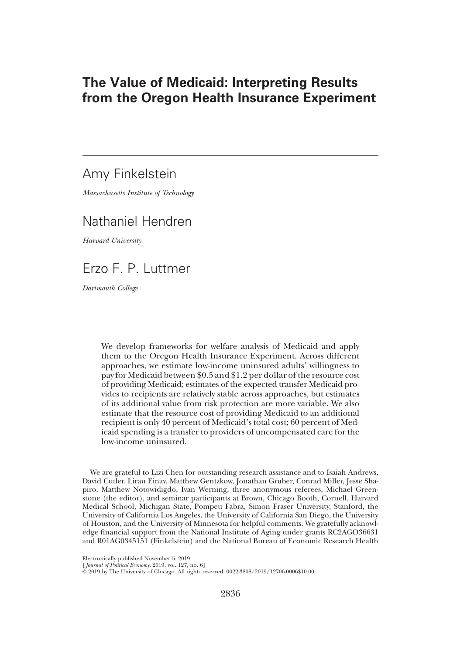# The Value of Medicaid: Interpreting Results from the Oregon Health Insurance Experiment

# Amy Finkelstein

Massachusetts Institute of Technology

# Nathaniel Hendren

Harvard University

Erzo F. P. Luttmer

Dartmouth College

We develop frameworks for welfare analysis of Medicaid and apply them to the Oregon Health Insurance Experiment. Across different approaches, we estimate low-income uninsured adults' willingness to pay for Medicaid between \$0.5 and \$1.2 per dollar of the resource cost of providing Medicaid; estimates of the expected transfer Medicaid provides to recipients are relatively stable across approaches, but estimates of its additional value from risk protection are more variable. We also estimate that the resource cost of providing Medicaid to an additional recipient is only 40 percent of Medicaid's total cost; 60 percent of Medicaid spending is a transfer to providers of uncompensated care for the low-income uninsured.

We are grateful to Lizi Chen for outstanding research assistance and to Isaiah Andrews, David Cutler, Liran Einav, Matthew Gentzkow, Jonathan Gruber, Conrad Miller, Jesse Shapiro, Matthew Notowidigdo, Ivan Werning, three anonymous referees, Michael Greenstone (the editor), and seminar participants at Brown, Chicago Booth, Cornell, Harvard Medical School, Michigan State, Pompeu Fabra, Simon Fraser University, Stanford, the University of California Los Angeles, the University of California San Diego, the University of Houston, and the University of Minnesota for helpful comments. We gratefully acknowledge financial support from the National Institute of Aging under grants RC2AGO36631 and R01AG0345151 (Finkelstein) and the National Bureau of Economic Research Health

Electronically published November 5, 2019

<sup>[</sup>*Journal of Political Econom*y, 2019, vol. 127, no. 6]<br>© 2019 by The University of Chicago. All rights reserved. 0022-3808/2019/12706-0006\$10.00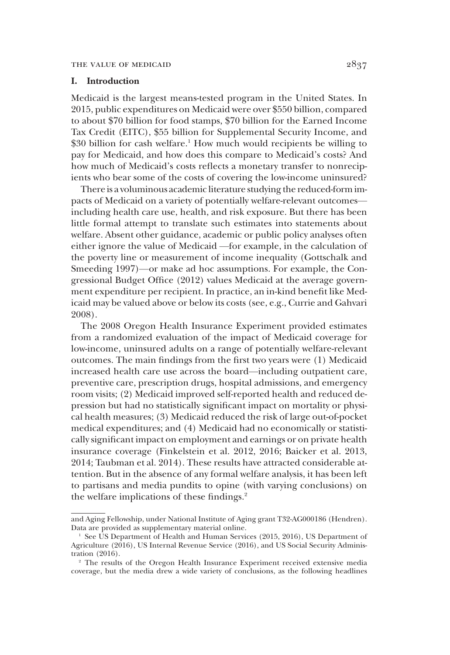# I. Introduction

Medicaid is the largest means-tested program in the United States. In 2015, public expenditures on Medicaid were over \$550 billion, compared to about \$70 billion for food stamps, \$70 billion for the Earned Income Tax Credit (EITC), \$55 billion for Supplemental Security Income, and \$30 billion for cash welfare.<sup>1</sup> How much would recipients be willing to pay for Medicaid, and how does this compare to Medicaid's costs? And how much of Medicaid's costs reflects a monetary transfer to nonrecipients who bear some of the costs of covering the low-income uninsured?

There is a voluminous academic literature studying the reduced-form impacts of Medicaid on a variety of potentially welfare-relevant outcomes including health care use, health, and risk exposure. But there has been little formal attempt to translate such estimates into statements about welfare. Absent other guidance, academic or public policy analyses often either ignore the value of Medicaid —for example, in the calculation of the poverty line or measurement of income inequality (Gottschalk and Smeeding 1997)—or make ad hoc assumptions. For example, the Congressional Budget Office (2012) values Medicaid at the average government expenditure per recipient. In practice, an in-kind benefit like Medicaid may be valued above or below its costs (see, e.g., Currie and Gahvari 2008).

The 2008 Oregon Health Insurance Experiment provided estimates from a randomized evaluation of the impact of Medicaid coverage for low-income, uninsured adults on a range of potentially welfare-relevant outcomes. The main findings from the first two years were (1) Medicaid increased health care use across the board—including outpatient care, preventive care, prescription drugs, hospital admissions, and emergency room visits; (2) Medicaid improved self-reported health and reduced depression but had no statistically significant impact on mortality or physical health measures; (3) Medicaid reduced the risk of large out-of-pocket medical expenditures; and (4) Medicaid had no economically or statistically significant impact on employment and earnings or on private health insurance coverage (Finkelstein et al. 2012, 2016; Baicker et al. 2013, 2014; Taubman et al. 2014). These results have attracted considerable attention. But in the absence of any formal welfare analysis, it has been left to partisans and media pundits to opine (with varying conclusions) on the welfare implications of these findings.<sup>2</sup>

and Aging Fellowship, under National Institute of Aging grant T32-AG000186 (Hendren). Data are provided as supplementary material online.

<sup>&</sup>lt;sup>1</sup> See US Department of Health and Human Services (2015, 2016), US Department of Agriculture (2016), US Internal Revenue Service (2016), and US Social Security Administration (2016).

<sup>2</sup> The results of the Oregon Health Insurance Experiment received extensive media coverage, but the media drew a wide variety of conclusions, as the following headlines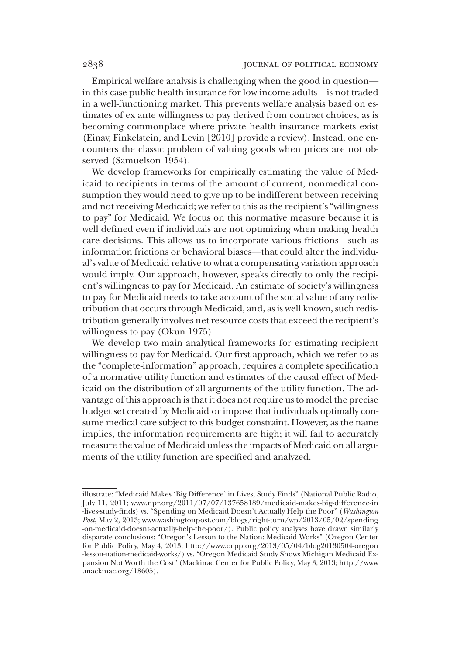Empirical welfare analysis is challenging when the good in question in this case public health insurance for low-income adults—is not traded in a well-functioning market. This prevents welfare analysis based on estimates of ex ante willingness to pay derived from contract choices, as is becoming commonplace where private health insurance markets exist (Einav, Finkelstein, and Levin [2010] provide a review). Instead, one encounters the classic problem of valuing goods when prices are not observed (Samuelson 1954).

We develop frameworks for empirically estimating the value of Medicaid to recipients in terms of the amount of current, nonmedical consumption they would need to give up to be indifferent between receiving and not receiving Medicaid; we refer to this as the recipient's "willingness" to pay" for Medicaid. We focus on this normative measure because it is well defined even if individuals are not optimizing when making health care decisions. This allows us to incorporate various frictions—such as information frictions or behavioral biases—that could alter the individual's value of Medicaid relative to what a compensating variation approach would imply. Our approach, however, speaks directly to only the recipient's willingness to pay for Medicaid. An estimate of society's willingness to pay for Medicaid needs to take account of the social value of any redistribution that occurs through Medicaid, and, as is well known, such redistribution generally involves net resource costs that exceed the recipient's willingness to pay (Okun 1975).

We develop two main analytical frameworks for estimating recipient willingness to pay for Medicaid. Our first approach, which we refer to as the "complete-information" approach, requires a complete specification of a normative utility function and estimates of the causal effect of Medicaid on the distribution of all arguments of the utility function. The advantage of this approach is that it does not require us to model the precise budget set created by Medicaid or impose that individuals optimally consume medical care subject to this budget constraint. However, as the name implies, the information requirements are high; it will fail to accurately measure the value of Medicaid unless the impacts of Medicaid on all arguments of the utility function are specified and analyzed.

illustrate: "Medicaid Makes 'Big Difference' in Lives, Study Finds" (National Public Radio, July 11, 2011; www.npr.org/2011/07/07/137658189/medicaid-makes-big-difference-in -lives-study-finds) vs. "Spending on Medicaid Doesn't Actually Help the Poor" (Washington Post, May 2, 2013; www.washingtonpost.com/blogs/right-turn/wp/2013/05/02/spending -on-medicaid-doesnt-actually-help-the-poor/). Public policy analyses have drawn similarly disparate conclusions: "Oregon's Lesson to the Nation: Medicaid Works" (Oregon Center for Public Policy, May 4, 2013; http://www.ocpp.org/2013/05/04/blog20130504-oregon -lesson-nation-medicaid-works/) vs. "Oregon Medicaid Study Shows Michigan Medicaid Expansion Not Worth the Cost" (Mackinac Center for Public Policy, May 3, 2013; http://www .mackinac.org/18605).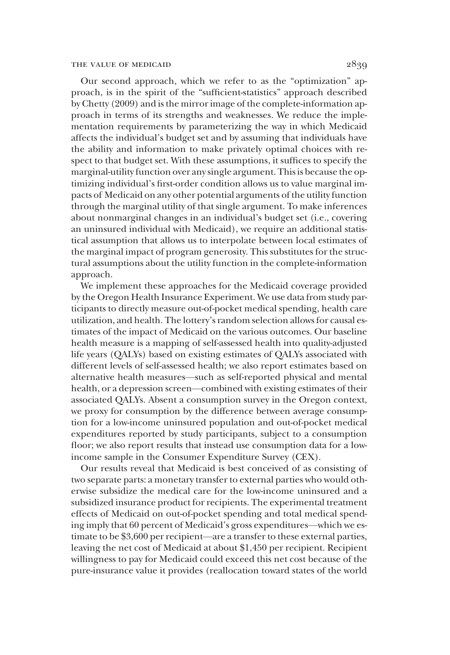#### THE VALUE OF MEDICAID  $2839$

Our second approach, which we refer to as the "optimization" approach, is in the spirit of the "sufficient-statistics" approach described by Chetty (2009) and is the mirror image of the complete-information approach in terms of its strengths and weaknesses. We reduce the implementation requirements by parameterizing the way in which Medicaid affects the individual's budget set and by assuming that individuals have the ability and information to make privately optimal choices with respect to that budget set. With these assumptions, it suffices to specify the marginal-utility function over any single argument. This is because the optimizing individual's first-order condition allows us to value marginal impacts of Medicaid on any other potential arguments of the utility function through the marginal utility of that single argument. To make inferences about nonmarginal changes in an individual's budget set (i.e., covering an uninsured individual with Medicaid), we require an additional statistical assumption that allows us to interpolate between local estimates of the marginal impact of program generosity. This substitutes for the structural assumptions about the utility function in the complete-information approach.

We implement these approaches for the Medicaid coverage provided by the Oregon Health Insurance Experiment. We use data from study participants to directly measure out-of-pocket medical spending, health care utilization, and health. The lottery's random selection allows for causal estimates of the impact of Medicaid on the various outcomes. Our baseline health measure is a mapping of self-assessed health into quality-adjusted life years (QALYs) based on existing estimates of QALYs associated with different levels of self-assessed health; we also report estimates based on alternative health measures—such as self-reported physical and mental health, or a depression screen—combined with existing estimates of their associated QALYs. Absent a consumption survey in the Oregon context, we proxy for consumption by the difference between average consumption for a low-income uninsured population and out-of-pocket medical expenditures reported by study participants, subject to a consumption floor; we also report results that instead use consumption data for a lowincome sample in the Consumer Expenditure Survey (CEX).

Our results reveal that Medicaid is best conceived of as consisting of two separate parts: a monetary transfer to external parties who would otherwise subsidize the medical care for the low-income uninsured and a subsidized insurance product for recipients. The experimental treatment effects of Medicaid on out-of-pocket spending and total medical spending imply that 60 percent of Medicaid's gross expenditures—which we estimate to be \$3,600 per recipient—are a transfer to these external parties, leaving the net cost of Medicaid at about \$1,450 per recipient. Recipient willingness to pay for Medicaid could exceed this net cost because of the pure-insurance value it provides (reallocation toward states of the world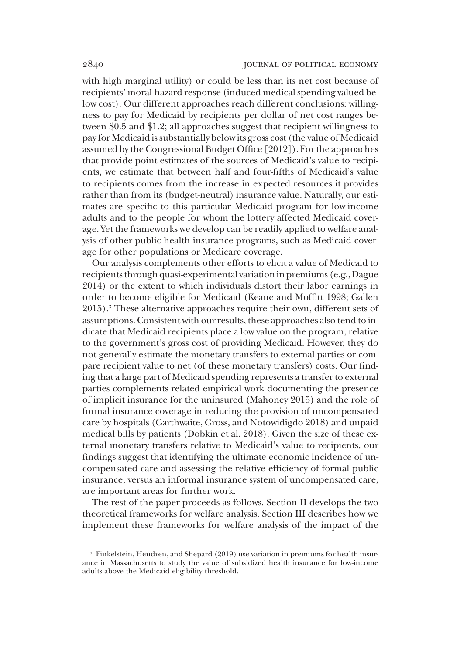with high marginal utility) or could be less than its net cost because of recipients' moral-hazard response (induced medical spending valued below cost). Our different approaches reach different conclusions: willingness to pay for Medicaid by recipients per dollar of net cost ranges between \$0.5 and \$1.2; all approaches suggest that recipient willingness to pay for Medicaid is substantially below its gross cost (the value of Medicaid assumed by the Congressional Budget Office [2012]). For the approaches that provide point estimates of the sources of Medicaid's value to recipients, we estimate that between half and four-fifths of Medicaid's value to recipients comes from the increase in expected resources it provides rather than from its (budget-neutral) insurance value. Naturally, our estimates are specific to this particular Medicaid program for low-income adults and to the people for whom the lottery affected Medicaid coverage. Yet the frameworks we develop can be readily applied to welfare analysis of other public health insurance programs, such as Medicaid coverage for other populations or Medicare coverage.

Our analysis complements other efforts to elicit a value of Medicaid to recipients through quasi-experimental variation in premiums (e.g., Dague 2014) or the extent to which individuals distort their labor earnings in order to become eligible for Medicaid (Keane and Moffitt 1998; Gallen 2015).3 These alternative approaches require their own, different sets of assumptions. Consistent with our results, these approaches also tend to indicate that Medicaid recipients place a low value on the program, relative to the government's gross cost of providing Medicaid. However, they do not generally estimate the monetary transfers to external parties or compare recipient value to net (of these monetary transfers) costs. Our finding that a large part of Medicaid spending represents a transfer to external parties complements related empirical work documenting the presence of implicit insurance for the uninsured (Mahoney 2015) and the role of formal insurance coverage in reducing the provision of uncompensated care by hospitals (Garthwaite, Gross, and Notowidigdo 2018) and unpaid medical bills by patients (Dobkin et al. 2018). Given the size of these external monetary transfers relative to Medicaid's value to recipients, our findings suggest that identifying the ultimate economic incidence of uncompensated care and assessing the relative efficiency of formal public insurance, versus an informal insurance system of uncompensated care, are important areas for further work.

The rest of the paper proceeds as follows. Section II develops the two theoretical frameworks for welfare analysis. Section III describes how we implement these frameworks for welfare analysis of the impact of the

<sup>3</sup> Finkelstein, Hendren, and Shepard (2019) use variation in premiums for health insurance in Massachusetts to study the value of subsidized health insurance for low-income adults above the Medicaid eligibility threshold.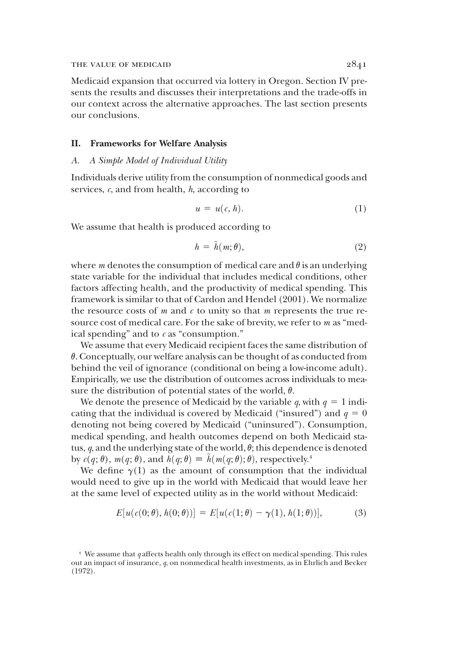#### THE VALUE OF MEDICAID  $2841$

Medicaid expansion that occurred via lottery in Oregon. Section IV presents the results and discusses their interpretations and the trade-offs in our context across the alternative approaches. The last section presents our conclusions.

#### II. Frameworks for Welfare Analysis

## A. A Simple Model of Individual Utility

Individuals derive utility from the consumption of nonmedical goods and services,  $c$ , and from health,  $h$ , according to

$$
u = u(c, h). \tag{1}
$$

We assume that health is produced according to

$$
h = \tilde{h}(m; \theta), \tag{2}
$$

where *m* denotes the consumption of medical care and  $\theta$  is an underlying state variable for the individual that includes medical conditions, other factors affecting health, and the productivity of medical spending. This framework is similar to that of Cardon and Hendel (2001). We normalize the resource costs of  $m$  and  $c$  to unity so that  $m$  represents the true resource cost of medical care. For the sake of brevity, we refer to m as "medical spending" and to  $c$  as "consumption."

We assume that every Medicaid recipient faces the same distribution of  $\theta$ . Conceptually, our welfare analysis can be thought of as conducted from behind the veil of ignorance (conditional on being a low-income adult). Empirically, we use the distribution of outcomes across individuals to measure the distribution of potential states of the world,  $\theta$ .

We denote the presence of Medicaid by the variable q, with  $q = 1$  indicating that the individual is covered by Medicaid ("insured") and  $q = 0$ denoting not being covered by Medicaid ("uninsured"). Consumption, medical spending, and health outcomes depend on both Medicaid status,  $q$ , and the underlying state of the world,  $\theta$ ; this dependence is denoted by  $c(q; \theta)$ ,  $m(q; \theta)$ , and  $h(q; \theta) \equiv \tilde{h}(m(q; \theta); \theta)$ , respectively.<sup>4</sup>

We define  $\gamma(1)$  as the amount of consumption that the individual would need to give up in the world with Medicaid that would leave her at the same level of expected utility as in the world without Medicaid:

$$
E[u(c(0; \theta), h(0; \theta))] = E[u(c(1; \theta) - \gamma(1), h(1; \theta))],
$$
 (3)

 $4$  We assume that  $q$  affects health only through its effect on medical spending. This rules out an impact of insurance, q, on nonmedical health investments, as in Ehrlich and Becker (1972).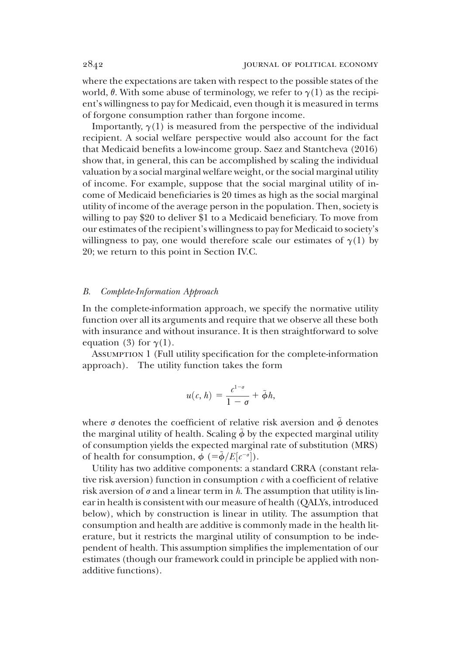where the expectations are taken with respect to the possible states of the world,  $\theta$ . With some abuse of terminology, we refer to  $\gamma(1)$  as the recipient's willingness to pay for Medicaid, even though it is measured in terms of forgone consumption rather than forgone income.

Importantly,  $\gamma(1)$  is measured from the perspective of the individual recipient. A social welfare perspective would also account for the fact that Medicaid benefits a low-income group. Saez and Stantcheva (2016) show that, in general, this can be accomplished by scaling the individual valuation by a social marginal welfare weight, or the social marginal utility of income. For example, suppose that the social marginal utility of income of Medicaid beneficiaries is 20 times as high as the social marginal utility of income of the average person in the population. Then, society is willing to pay \$20 to deliver \$1 to a Medicaid beneficiary. To move from our estimates of the recipient's willingness to pay for Medicaid to society's willingness to pay, one would therefore scale our estimates of  $\gamma(1)$  by 20; we return to this point in Section IV.C.

#### B. Complete-Information Approach

In the complete-information approach, we specify the normative utility function over all its arguments and require that we observe all these both with insurance and without insurance. It is then straightforward to solve equation (3) for  $\gamma(1)$ .

Assumption 1 (Full utility specification for the complete-information approach). The utility function takes the form

$$
u(c, h) = \frac{c^{1-\sigma}}{1-\sigma} + \tilde{\phi}h,
$$

where  $\sigma$  denotes the coefficient of relative risk aversion and  $\ddot{\phi}$  denotes the marginal utility of health. Scaling  $\phi$  by the expected marginal utility of consumption yields the expected marginal rate of substitution (MRS) of health for consumption,  $\dot{\phi}$  (= $\ddot{\phi}/E[c^{-\sigma}]$ ).<br>
Hility has two additive components: a st

Utility has two additive components: a standard CRRA (constant relative risk aversion) function in consumption  $c$  with a coefficient of relative risk aversion of  $\sigma$  and a linear term in h. The assumption that utility is linear in health is consistent with our measure of health (QALYs, introduced below), which by construction is linear in utility. The assumption that consumption and health are additive is commonly made in the health literature, but it restricts the marginal utility of consumption to be independent of health. This assumption simplifies the implementation of our estimates (though our framework could in principle be applied with nonadditive functions).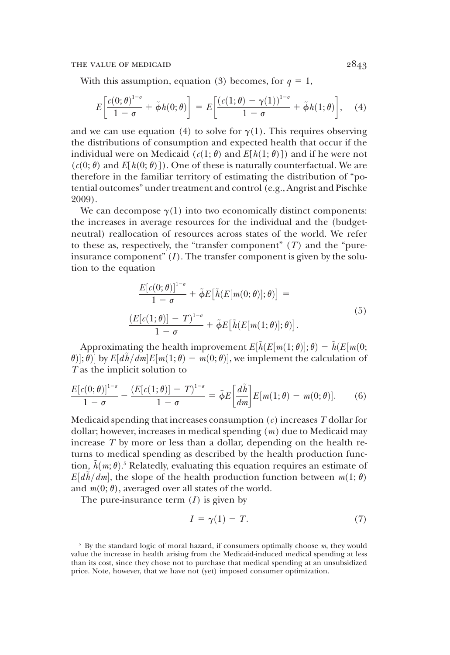With this assumption, equation (3) becomes, for  $q = 1$ ,

$$
E\left[\frac{c(0;\theta)^{1-\sigma}}{1-\sigma}+\tilde{\phi}h(0;\theta)\right]=E\left[\frac{(c(1;\theta)-\gamma(1))^{1-\sigma}}{1-\sigma}+\tilde{\phi}h(1;\theta)\right],\quad (4)
$$

and we can use equation (4) to solve for  $\gamma(1)$ . This requires observing the distributions of consumption and expected health that occur if the individual were on Medicaid ( $c(1; \theta)$  and  $E[h(1; \theta)]$ ) and if he were not  $(c(0; \theta)$  and  $E[h(0; \theta)]$ ). One of these is naturally counterfactual. We are therefore in the familiar territory of estimating the distribution of "potential outcomes" under treatment and control (e.g., Angrist and Pischke 2009).

We can decompose  $\gamma(1)$  into two economically distinct components: the increases in average resources for the individual and the (budgetneutral) reallocation of resources across states of the world. We refer to these as, respectively, the "transfer component"  $(T)$  and the "pureinsurance component"  $(I)$ . The transfer component is given by the solution to the equation

$$
\frac{E[c(0;\theta)]^{1-\sigma}}{1-\sigma} + \tilde{\phi}E\big[\tilde{h}(E[m(0;\theta)];\theta)\big] =
$$
\n
$$
\frac{(E[c(1;\theta)] - T)^{1-\sigma}}{1-\sigma} + \tilde{\phi}E\big[\tilde{h}(E[m(1;\theta)];\theta)\big].
$$
\n(5)

Approximating the health improvement  $E[\tilde{h}(E[m(1;\theta)];\theta) - \tilde{h}(E[m(0;\theta)])$ <br> $\cdot \theta$ l by  $E[d\tilde{h}/dm]E[m(1;\theta) - m(0;\theta)]$  we implement the calculation of  $\theta$ )|;  $\theta$ )| by *E*[*ah*/*am*]*E*[*m*(1;  $\theta$ )<br>*T* as the implicit solution to  $(\vec{\theta}, \vec{\theta})$  by  $E[d\tilde{h}/dm]E[m(1;\theta) - m(0;\theta)]$ , we implement the calculation of

$$
\frac{E[c(0;\theta)]^{1-\sigma}}{1-\sigma} - \frac{\left(E[c(1;\theta)] - T\right)^{1-\sigma}}{1-\sigma} = \tilde{\phi}E\left[\frac{d\tilde{h}}{dm}\right]E[m(1;\theta) - m(0;\theta)].\tag{6}
$$

Medicaid spending that increases consumption  $(c)$  increases T dollar for dollar; however, increases in medical spending  $(m)$  due to Medicaid may increase T by more or less than a dollar, depending on the health returns to medical spending as described by the health production function,  $\tilde{h}(m;\theta)$ .<sup>5</sup> Relatedly, evaluating this equation requires an estimate of  $E[\tilde{d}h/dm]$ , the slope of the health production function between  $m(1;\theta)$ .  $E[d\tilde{h}/dm]$ , the slope of the health production function between  $m(1; \theta)$ <br>and  $m(0; \theta)$  averaged over all states of the world and  $m(0; \theta)$ , averaged over all states of the world.

The pure-insurance term  $(I)$  is given by

$$
I = \gamma(1) - T. \tag{7}
$$

 $5$  By the standard logic of moral hazard, if consumers optimally choose  $m$ , they would value the increase in health arising from the Medicaid-induced medical spending at less than its cost, since they chose not to purchase that medical spending at an unsubsidized price. Note, however, that we have not (yet) imposed consumer optimization.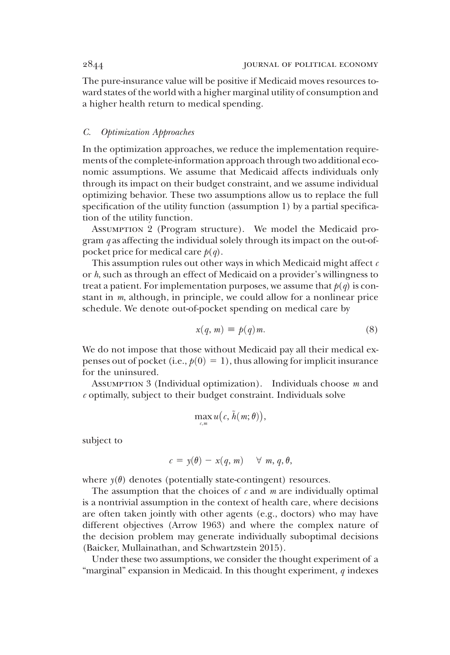The pure-insurance value will be positive if Medicaid moves resources toward states of the world with a higher marginal utility of consumption and a higher health return to medical spending.

# C. Optimization Approaches

In the optimization approaches, we reduce the implementation requirements of the complete-information approach through two additional economic assumptions. We assume that Medicaid affects individuals only through its impact on their budget constraint, and we assume individual optimizing behavior. These two assumptions allow us to replace the full specification of the utility function (assumption 1) by a partial specification of the utility function.

Assumption 2 (Program structure). We model the Medicaid program  $q$  as affecting the individual solely through its impact on the out-ofpocket price for medical care  $p(q)$ .

This assumption rules out other ways in which Medicaid might affect  $c$ or h, such as through an effect of Medicaid on a provider's willingness to treat a patient. For implementation purposes, we assume that  $p(q)$  is constant in m, although, in principle, we could allow for a nonlinear price schedule. We denote out-of-pocket spending on medical care by

$$
x(q, m) \equiv p(q)m. \tag{8}
$$

We do not impose that those without Medicaid pay all their medical expenses out of pocket (i.e.,  $p(0) = 1$ ), thus allowing for implicit insurance for the uninsured.

ASSUMPTION 3 (Individual optimization). Individuals choose  $m$  and  $c$  optimally, subject to their budget constraint. Individuals solve

$$
\max_{\mathbf{c},m} u(\mathbf{c},\tilde{h}(m;\theta)),
$$

subject to

$$
c = y(\theta) - x(q, m) \quad \forall \; m, q, \theta,
$$

where  $y(\theta)$  denotes (potentially state-contingent) resources.

The assumption that the choices of  $c$  and  $m$  are individually optimal is a nontrivial assumption in the context of health care, where decisions are often taken jointly with other agents (e.g., doctors) who may have different objectives (Arrow 1963) and where the complex nature of the decision problem may generate individually suboptimal decisions (Baicker, Mullainathan, and Schwartzstein 2015).

Under these two assumptions, we consider the thought experiment of a "marginal" expansion in Medicaid. In this thought experiment,  $q$  indexes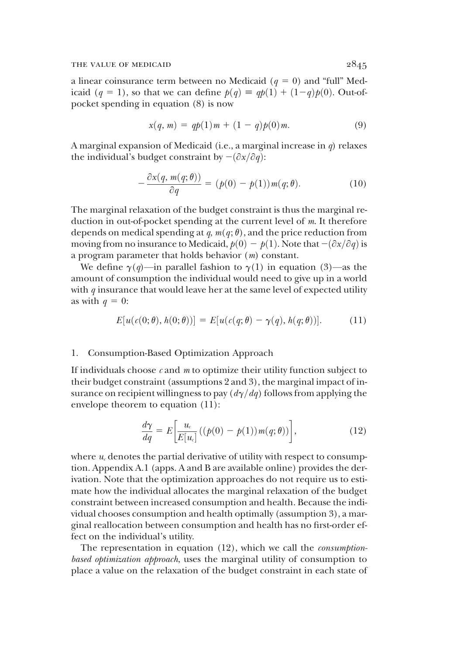a linear coinsurance term between no Medicaid ( $q = 0$ ) and "full" Medicaid (q = 1), so that we can define  $p(q) \equiv qp(1) + (1-q)p(0)$ . Out-ofpocket spending in equation (8) is now

$$
x(q, m) = qp(1)m + (1 - q)p(0)m.
$$
 (9)

A marginal expansion of Medicaid (i.e., a marginal increase in  $q$ ) relaxes the individual's budget constraint by  $-(\partial x/\partial q)$ :

$$
-\frac{\partial x(q, m(q; \theta))}{\partial q} = (p(0) - p(1))m(q; \theta).
$$
 (10)

The marginal relaxation of the budget constraint is thus the marginal reduction in out-of-pocket spending at the current level of m. It therefore depends on medical spending at q,  $m(q; \theta)$ , and the price reduction from moving from no insurance to Medicaid,  $p(0) - p(1)$ . Note that  $-(\partial x/\partial q)$  is a program parameter that holds behavior (m) constant.

We define  $\gamma(q)$ —in parallel fashion to  $\gamma(1)$  in equation (3)—as the amount of consumption the individual would need to give up in a world with  $q$  insurance that would leave her at the same level of expected utility as with  $q = 0$ :

$$
E[u(c(0;\theta), h(0;\theta))] = E[u(c(q;\theta) - \gamma(q), h(q;\theta))]. \tag{11}
$$

#### 1. Consumption-Based Optimization Approach

If individuals choose  $c$  and  $m$  to optimize their utility function subject to their budget constraint (assumptions 2 and 3), the marginal impact of insurance on recipient willingness to pay  $\left(\frac{d\gamma}{dq}\right)$  follows from applying the envelope theorem to equation (11):

$$
\frac{d\gamma}{dq} = E\bigg[\frac{u_c}{E[u_c]}\big((p(0) - p(1))m(q;\theta)\big)\bigg],\tag{12}
$$

where  $u_c$  denotes the partial derivative of utility with respect to consumption. Appendix A.1 (apps. A and B are available online) provides the derivation. Note that the optimization approaches do not require us to estimate how the individual allocates the marginal relaxation of the budget constraint between increased consumption and health. Because the individual chooses consumption and health optimally (assumption 3), a marginal reallocation between consumption and health has no first-order effect on the individual's utility.

The representation in equation (12), which we call the *consumption*based optimization approach, uses the marginal utility of consumption to place a value on the relaxation of the budget constraint in each state of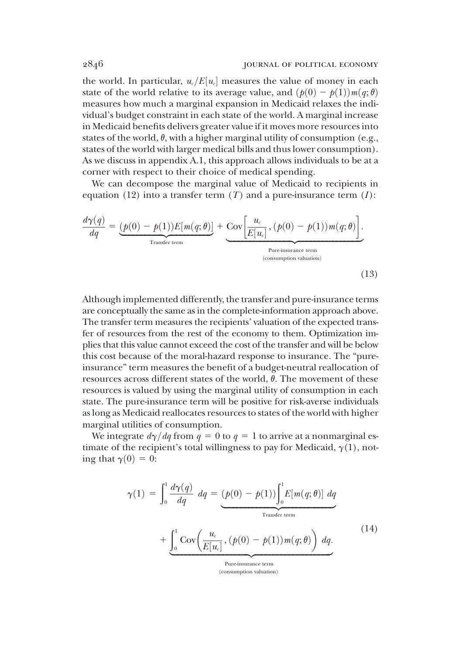the world. In particular,  $u_c/E[u_c]$  measures the value of money in each state of the world relative to its average value, and  $(p(0) - p(1))m(q; \theta)$ measures how much a marginal expansion in Medicaid relaxes the individual's budget constraint in each state of the world. A marginal increase in Medicaid benefits delivers greater value if it moves more resources into states of the world,  $\theta$ , with a higher marginal utility of consumption (e.g., states of the world with larger medical bills and thus lower consumption). As we discuss in appendix A.1, this approach allows individuals to be at a corner with respect to their choice of medical spending.

We can decompose the marginal value of Medicaid to recipients in equation (12) into a transfer term  $(T)$  and a pure-insurance term  $(I)$ :

$$
\frac{d\gamma(q)}{dq} = \underbrace{(p(0) - p(1))E[m(q; \theta)]}_{\text{Transfer term}} + \underbrace{\text{Cov}\left[\frac{u_c}{E[u_c]}, (p(0) - p(1))m(q; \theta)\right]}_{\text{Pure-insurance term}}.
$$
\n(13)

Although implemented differently, the transfer and pure-insurance terms are conceptually the same as in the complete-information approach above. The transfer term measures the recipients' valuation of the expected transfer of resources from the rest of the economy to them. Optimization implies that this value cannot exceed the cost of the transfer and will be below this cost because of the moral-hazard response to insurance. The "pureinsurance" term measures the benefit of a budget-neutral reallocation of resources across different states of the world,  $\theta$ . The movement of these resources is valued by using the marginal utility of consumption in each state. The pure-insurance term will be positive for risk-averse individuals as long as Medicaid reallocates resources to states of the world with higher marginal utilities of consumption.

We integrate  $d\gamma/dq$  from  $q = 0$  to  $q = 1$  to arrive at a nonmarginal estimate of the recipient's total willingness to pay for Medicaid,  $\gamma(1)$ , noting that  $\gamma(0) = 0$ :

$$
\gamma(1) = \int_0^1 \frac{d\gamma(q)}{dq} dq = \underbrace{(p(0) - p(1)) \int_0^1 E[m(q; \theta)] dq}_{\text{Transfer term}} + \underbrace{\int_0^1 \text{Cov}\left(\frac{u_c}{E[u_c]}, (p(0) - p(1))m(q; \theta)\right) dq}_{\text{Pureinsurance term}}.
$$
\n(14)

(consumption valuation)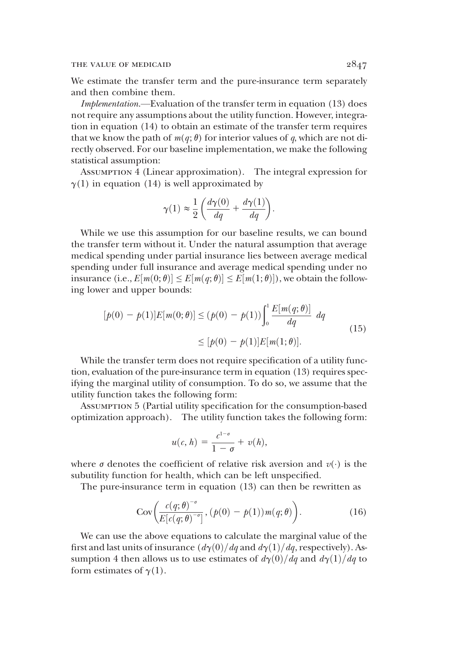We estimate the transfer term and the pure-insurance term separately and then combine them.

Implementation.—Evaluation of the transfer term in equation (13) does not require any assumptions about the utility function. However, integration in equation (14) to obtain an estimate of the transfer term requires that we know the path of  $m(q; \theta)$  for interior values of q, which are not directly observed. For our baseline implementation, we make the following statistical assumption:

Assumption 4 (Linear approximation). The integral expression for  $\gamma(1)$  in equation (14) is well approximated by

$$
\gamma(1) \approx \frac{1}{2} \left( \frac{d \gamma(0)}{d q} + \frac{d \gamma(1)}{d q} \right).
$$

While we use this assumption for our baseline results, we can bound the transfer term without it. Under the natural assumption that average medical spending under partial insurance lies between average medical spending under full insurance and average medical spending under no insurance  $(i.e., E[m(0;\theta)] \le E[m(q;\theta)] \le E[m(1;\theta)]$ , we obtain the following lower and upper bounds. ing lower and upper bounds:

$$
[p(0) - p(1)]E[m(0; \theta)] \le (p(0) - p(1)) \int_0^1 \frac{E[m(q; \theta)]}{dq} dq
$$
  
 
$$
\le [p(0) - p(1)]E[m(1; \theta)].
$$
 (15)

While the transfer term does not require specification of a utility function, evaluation of the pure-insurance term in equation (13) requires specifying the marginal utility of consumption. To do so, we assume that the utility function takes the following form:

Assumption 5 (Partial utility specification for the consumption-based optimization approach). The utility function takes the following form:

$$
u(c, h) = \frac{c^{1-\sigma}}{1-\sigma} + v(h),
$$

where  $\sigma$  denotes the coefficient of relative risk aversion and  $v(\cdot)$  is the suburblifty function for health which can be left unspecified subutility function for health, which can be left unspecified.

The pure-insurance term in equation (13) can then be rewritten as

$$
Cov\bigg(\frac{c(q;\theta)^{-\sigma}}{E[c(q;\theta)^{-\sigma}]},\, (p(0)-p(1))m(q;\theta)\bigg). \tag{16}
$$

We can use the above equations to calculate the marginal value of the first and last units of insurance  $\frac{d\gamma(0)}{dq}$  and  $\frac{d\gamma(1)}{dq}$ , respectively). Assumption 4 then allows us to use estimates of  $d\gamma(0)/dq$  and  $d\gamma(1)/dq$  to form estimates of  $\gamma(1)$ .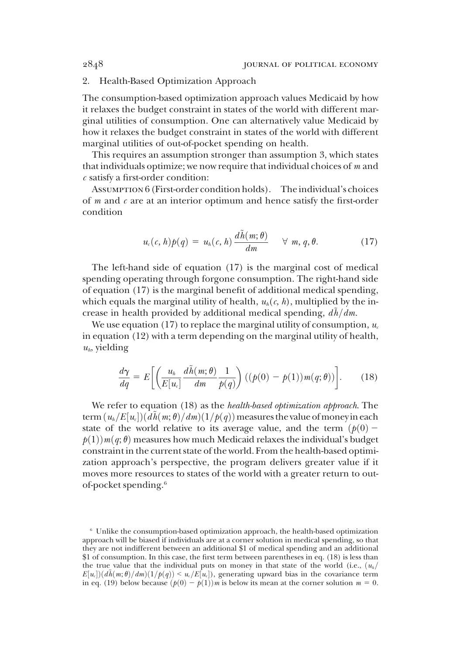# 2. Health-Based Optimization Approach

The consumption-based optimization approach values Medicaid by how it relaxes the budget constraint in states of the world with different marginal utilities of consumption. One can alternatively value Medicaid by how it relaxes the budget constraint in states of the world with different marginal utilities of out-of-pocket spending on health.

This requires an assumption stronger than assumption 3, which states that individuals optimize; we now require that individual choices of  $m$  and  $c$  satisfy a first-order condition:

ASSUMPTION 6 (First-order condition holds). The individual's choices of  $m$  and  $c$  are at an interior optimum and hence satisfy the first-order condition

$$
u_{\varepsilon}(c,h)p(q) = u_{h}(c,h)\frac{d\tilde{h}(m;\theta)}{dm} \quad \forall \ m, q, \theta.
$$
 (17)

The left-hand side of equation (17) is the marginal cost of medical spending operating through forgone consumption. The right-hand side of equation (17) is the marginal benefit of additional medical spending, which equals the marginal utility of health,  $u_h(c, h)$ , multiplied by the increase in health provided by additional medical spending,  $d\tilde{h}/dm$ .

We use equation (17) to replace the marginal utility of consumption,  $u_c$ in equation (12) with a term depending on the marginal utility of health,  $u_h$ , yielding

$$
\frac{d\gamma}{dq} = E\left[\left(\frac{u_h}{E[u_c]}\frac{d\tilde{h}(m;\theta)}{dm}\frac{1}{p(q)}\right) ((p(0) - p(1))m(q;\theta))\right].
$$
 (18)

We refer to equation (18) as the *health-based optimization approach*. The term $(u_h/E[u_c]) (\tilde{d}\tilde{h}(m;\theta)/dm)(1/p(q))$  measures the value of money in each state of the world relative to its average value and the term  $(h(0)$ state of the world relative to its average value, and the term  $(p(0)$  $p(1)$ )  $m(q; \theta)$  measures how much Medicaid relaxes the individual's budget constraint in the current state of the world. From the health-based optimization approach's perspective, the program delivers greater value if it moves more resources to states of the world with a greater return to outof-pocket spending.6

<sup>6</sup> Unlike the consumption-based optimization approach, the health-based optimization approach will be biased if individuals are at a corner solution in medical spending, so that they are not indifferent between an additional \$1 of medical spending and an additional \$1 of consumption. In this case, the first term between parentheses in eq. (18) is less than the true value that the individual puts on money in that state of the world (i.e.,  $(u_h/$  $E[u_{\epsilon}](d\tilde{h}(m;\theta)/dm)(1/p(q)) \le u_{\epsilon}/E[u_{\epsilon}]$ , generating upward bias in the covariance term<br>in eq. (19) below because  $(b(0) - b(1))$  is below its mean at the corner solution  $m = 0$ in eq. (19) below because  $(p(0) - p(1))$ m is below its mean at the corner solution  $m = 0$ .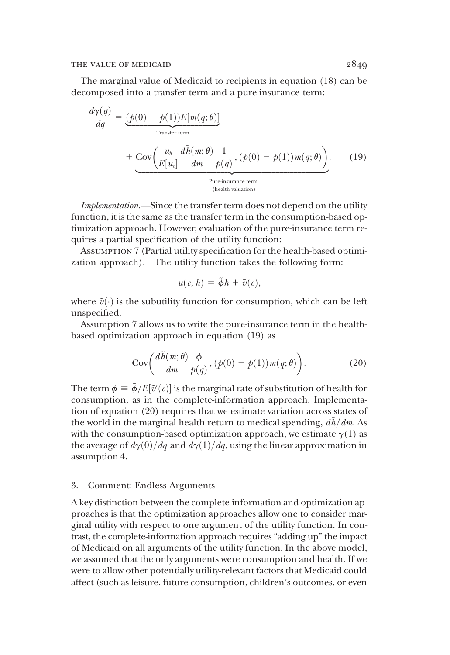The marginal value of Medicaid to recipients in equation (18) can be decomposed into a transfer term and a pure-insurance term:

$$
\frac{d\gamma(q)}{dq} = \underbrace{(p(0) - p(1))E[m(q; \theta)]}_{\text{Transfer term}} + \underbrace{\text{Cov}\left(\frac{u_h}{E[u_c]}\frac{d\tilde{h}(m; \theta)}{dm}\frac{1}{p(q)}, (p(0) - p(1))m(q; \theta)\right)}_{\text{Pure-insurance term}}.
$$
\n(19)

Implementation.—Since the transfer term does not depend on the utility function, it is the same as the transfer term in the consumption-based optimization approach. However, evaluation of the pure-insurance term requires a partial specification of the utility function:

Assumption 7 (Partial utility specification for the health-based optimization approach). The utility function takes the following form:

$$
u(c, h) = \tilde{\phi}h + \tilde{v}(c),
$$

where  $\tilde{v}(\cdot)$  is the subutility function for consumption, which can be left unspecified.

Assumption 7 allows us to write the pure-insurance term in the healthbased optimization approach in equation (19) as

$$
Cov\left(\frac{d\tilde{h}(m;\theta)}{dm}\frac{\phi}{p(q)}, (p(0)-p(1))m(q;\theta)\right).
$$
 (20)

The term  $\phi = \tilde{\phi}/E[\tilde{v}'(c)]$  is the marginal rate of substitution of health for<br>consumption, as in the complete-information approach. Implementaconsumption, as in the complete-information approach. Implementation of equation (20) requires that we estimate variation across states of the world in the marginal health return to medical spending,  $d\hbar/dm$ . As with the consumption-based optimization approach, we estimate  $\gamma(1)$  as the average of  $d\gamma(0)/dq$  and  $d\gamma(1)/dq$ , using the linear approximation in assumption 4.

# 3. Comment: Endless Arguments

A key distinction between the complete-information and optimization approaches is that the optimization approaches allow one to consider marginal utility with respect to one argument of the utility function. In contrast, the complete-information approach requires "adding up" the impact of Medicaid on all arguments of the utility function. In the above model, we assumed that the only arguments were consumption and health. If we were to allow other potentially utility-relevant factors that Medicaid could affect (such as leisure, future consumption, children's outcomes, or even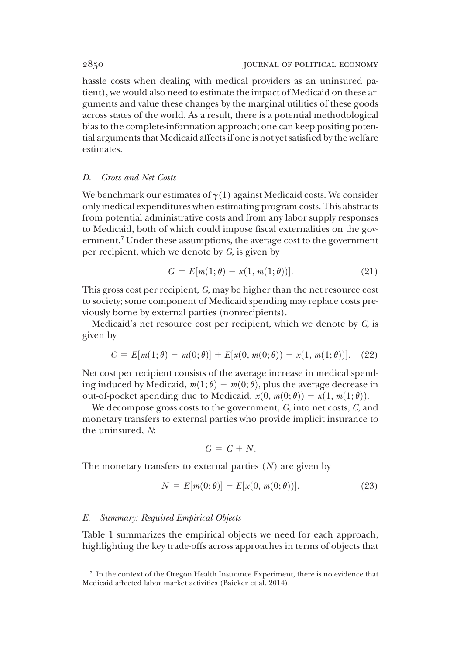hassle costs when dealing with medical providers as an uninsured patient), we would also need to estimate the impact of Medicaid on these arguments and value these changes by the marginal utilities of these goods across states of the world. As a result, there is a potential methodological bias to the complete-information approach; one can keep positing potential arguments that Medicaid affects if one is not yet satisfied by the welfare estimates.

## D. Gross and Net Costs

We benchmark our estimates of  $\gamma(1)$  against Medicaid costs. We consider only medical expenditures when estimating program costs. This abstracts from potential administrative costs and from any labor supply responses to Medicaid, both of which could impose fiscal externalities on the government.<sup>7</sup> Under these assumptions, the average cost to the government per recipient, which we denote by G, is given by

$$
G = E[m(1; \theta) - x(1, m(1; \theta))].
$$
 (21)

This gross cost per recipient, G, may be higher than the net resource cost to society; some component of Medicaid spending may replace costs previously borne by external parties (nonrecipients).

Medicaid's net resource cost per recipient, which we denote by C, is given by

$$
C = E[m(1; \theta) - m(0; \theta)] + E[x(0, m(0; \theta)) - x(1, m(1; \theta))].
$$
 (22)

Net cost per recipient consists of the average increase in medical spending induced by Medicaid,  $m(1; \theta) - m(0; \theta)$ , plus the average decrease in out-of-pocket spending due to Medicaid,  $x(0, m(0; \theta)) - x(1, m(1; \theta))$ .

We decompose gross costs to the government, G, into net costs, C, and monetary transfers to external parties who provide implicit insurance to the uninsured, N:

$$
G = C + N.
$$

The monetary transfers to external parties  $(N)$  are given by

$$
N = E[m(0; \theta)] - E[x(0, m(0; \theta))].
$$
 (23)

#### E. Summary: Required Empirical Objects

Table 1 summarizes the empirical objects we need for each approach, highlighting the key trade-offs across approaches in terms of objects that

<sup>7</sup> In the context of the Oregon Health Insurance Experiment, there is no evidence that Medicaid affected labor market activities (Baicker et al. 2014).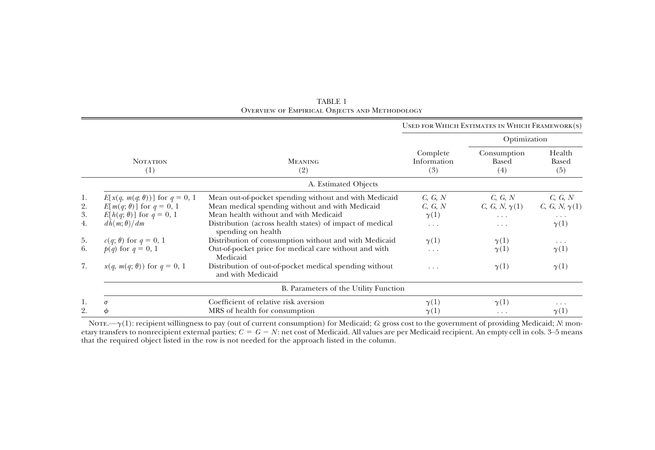|                                        |                                                                                                                                                                                                                                       |                                                                                                                                                                                                                                                                                                                                                                                                                                                  |                                                                                      | USED FOR WHICH ESTIMATES IN WHICH FRAMEWORK(S)                                                |                                                                                                                                              |
|----------------------------------------|---------------------------------------------------------------------------------------------------------------------------------------------------------------------------------------------------------------------------------------|--------------------------------------------------------------------------------------------------------------------------------------------------------------------------------------------------------------------------------------------------------------------------------------------------------------------------------------------------------------------------------------------------------------------------------------------------|--------------------------------------------------------------------------------------|-----------------------------------------------------------------------------------------------|----------------------------------------------------------------------------------------------------------------------------------------------|
|                                        |                                                                                                                                                                                                                                       |                                                                                                                                                                                                                                                                                                                                                                                                                                                  |                                                                                      | Optimization                                                                                  |                                                                                                                                              |
|                                        | <b>NOTATION</b><br>(1)                                                                                                                                                                                                                | <b>MEANING</b><br>(2)                                                                                                                                                                                                                                                                                                                                                                                                                            | Complete<br>Information<br>(3)                                                       | Consumption<br>Based<br>(4)                                                                   | Health<br>Based<br>(5)                                                                                                                       |
|                                        |                                                                                                                                                                                                                                       | A. Estimated Objects                                                                                                                                                                                                                                                                                                                                                                                                                             |                                                                                      |                                                                                               |                                                                                                                                              |
| 1.<br>2.<br>3.<br>4.<br>5.<br>6.<br>7. | $E[x(q, m(q, \theta))]$ for $q = 0, 1$<br>$E[m(q; \theta)]$ for $q = 0, 1$<br>$E[h(q; \theta)]$ for $q = 0, 1$<br>$dh(m; \theta)/dm$<br>$c(q; \theta)$ for $q = 0, 1$<br>$p(q)$ for $q = 0, 1$<br>$x(q, m(q; \theta))$ for $q = 0, 1$ | Mean out-of-pocket spending without and with Medicaid<br>Mean medical spending without and with Medicaid<br>Mean health without and with Medicaid<br>Distribution (across health states) of impact of medical<br>spending on health<br>Distribution of consumption without and with Medicaid<br>Out-of-pocket price for medical care without and with<br>Medicaid<br>Distribution of out-of-pocket medical spending without<br>and with Medicaid | C, G, N<br>C, G, N<br>$\gamma(1)$<br>$\cdots$<br>$\gamma(1)$<br>$\cdots$<br>$\cdots$ | C, G, N<br>$C, G, N, \gamma(1)$<br>.<br>$\cdots$<br>$\gamma(1)$<br>$\gamma(1)$<br>$\gamma(1)$ | C, G, N<br><i>C</i> , <i>G</i> , <i>N</i> , $\gamma$ (1)<br>$\cdots$<br>$\gamma(1)$<br>$\cdot$ $\cdot$ $\cdot$<br>$\gamma(1)$<br>$\gamma(1)$ |
| B. Parameters of the Utility Function  |                                                                                                                                                                                                                                       |                                                                                                                                                                                                                                                                                                                                                                                                                                                  |                                                                                      |                                                                                               |                                                                                                                                              |
| 1.<br>2.                               | $\sigma$<br>Φ                                                                                                                                                                                                                         | Coefficient of relative risk aversion<br>MRS of health for consumption                                                                                                                                                                                                                                                                                                                                                                           | $\gamma(1)$<br>$\gamma(1)$                                                           | $\gamma(1)$<br>.                                                                              | .<br>$\gamma(1)$                                                                                                                             |

TABLE 1 Overview of Empirical Objects and Methodology

NOTE.— $\gamma(1)$ : recipient willingness to pay (out of current consumption) for Medicaid; G: gross cost to the government of providing Medicaid; N: monetary transfers to nonrecipient external parties;  $C = G - N$ : net cost of Medicaid. All values are per Medicaid recipient. An empty cell in cols. 3–5 means that the required object listed in the row is not needed for the approach listed in the column.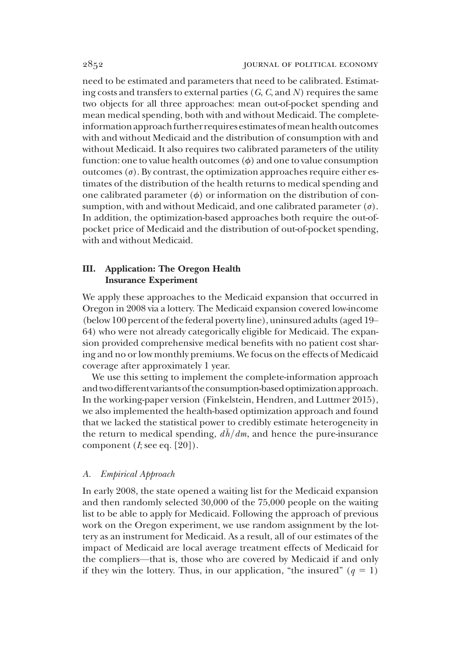need to be estimated and parameters that need to be calibrated. Estimating costs and transfers to external parties  $(G, G, \text{ and } N)$  requires the same two objects for all three approaches: mean out-of-pocket spending and mean medical spending, both with and without Medicaid. The completeinformation approach further requires estimates of mean health outcomes with and without Medicaid and the distribution of consumption with and without Medicaid. It also requires two calibrated parameters of the utility function: one to value health outcomes  $(\phi)$  and one to value consumption outcomes  $(\sigma)$ . By contrast, the optimization approaches require either estimates of the distribution of the health returns to medical spending and one calibrated parameter  $(\phi)$  or information on the distribution of consumption, with and without Medicaid, and one calibrated parameter  $(\sigma)$ . In addition, the optimization-based approaches both require the out-ofpocket price of Medicaid and the distribution of out-of-pocket spending, with and without Medicaid.

# III. Application: The Oregon Health Insurance Experiment

We apply these approaches to the Medicaid expansion that occurred in Oregon in 2008 via a lottery. The Medicaid expansion covered low-income (below 100 percent of the federal poverty line), uninsured adults (aged 19– 64) who were not already categorically eligible for Medicaid. The expansion provided comprehensive medical benefits with no patient cost sharing and no or low monthly premiums. We focus on the effects of Medicaid coverage after approximately 1 year.

We use this setting to implement the complete-information approach and two different variants of the consumption-based optimization approach. In the working-paper version (Finkelstein, Hendren, and Luttmer 2015), we also implemented the health-based optimization approach and found that we lacked the statistical power to credibly estimate heterogeneity in the return to medical spending,  $d\hbar/dm$ , and hence the pure-insurance component  $(I; \text{see eq. } [20])$ .

# A. Empirical Approach

In early 2008, the state opened a waiting list for the Medicaid expansion and then randomly selected 30,000 of the 75,000 people on the waiting list to be able to apply for Medicaid. Following the approach of previous work on the Oregon experiment, we use random assignment by the lottery as an instrument for Medicaid. As a result, all of our estimates of the impact of Medicaid are local average treatment effects of Medicaid for the compliers—that is, those who are covered by Medicaid if and only if they win the lottery. Thus, in our application, "the insured"  $(q = 1)$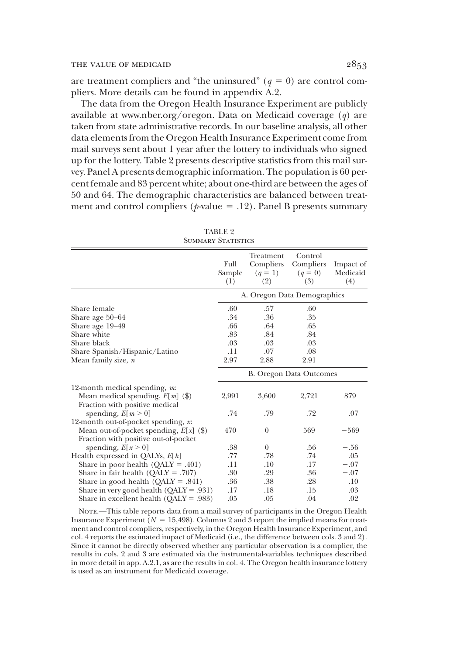are treatment compliers and "the uninsured" ( $q = 0$ ) are control compliers. More details can be found in appendix A.2.

The data from the Oregon Health Insurance Experiment are publicly available at www.nber.org/oregon. Data on Medicaid coverage  $(q)$  are taken from state administrative records. In our baseline analysis, all other data elements from the Oregon Health Insurance Experiment come from mail surveys sent about 1 year after the lottery to individuals who signed up for the lottery. Table 2 presents descriptive statistics from this mail survey. Panel A presents demographic information. The population is 60 percent female and 83 percent white; about one-third are between the ages of 50 and 64. The demographic characteristics are balanced between treatment and control compliers ( $p$ -value = .12). Panel B presents summary

TABLE 9

| <b>SUMMARY STATISTICS</b>                                                                                                                                                |                             |                                            |                                          |                              |  |  |  |
|--------------------------------------------------------------------------------------------------------------------------------------------------------------------------|-----------------------------|--------------------------------------------|------------------------------------------|------------------------------|--|--|--|
|                                                                                                                                                                          | Full<br>Sample<br>(1)       | Treatment<br>Compliers<br>$(q = 1)$<br>(2) | Control<br>Compliers<br>$(q = 0)$<br>(3) | Impact of<br>Medicaid<br>(4) |  |  |  |
|                                                                                                                                                                          | A. Oregon Data Demographics |                                            |                                          |                              |  |  |  |
| Share female<br>Share age 50–64                                                                                                                                          | .60<br>.34                  | .57<br>.36                                 | .60<br>.35                               |                              |  |  |  |
| Share age 19–49<br>Share white<br>Share black                                                                                                                            | .66<br>.83<br>.03           | .64<br>.84<br>.03                          | .65<br>.84<br>.03                        |                              |  |  |  |
| Share Spanish/Hispanic/Latino<br>Mean family size, n                                                                                                                     | .11<br>2.97                 | .07<br>2.88                                | .08<br>2.91                              |                              |  |  |  |
|                                                                                                                                                                          | B. Oregon Data Outcomes     |                                            |                                          |                              |  |  |  |
| 12-month medical spending, $m$ .<br>Mean medical spending, $E[m]$ (\$)<br>Fraction with positive medical                                                                 | 2,991<br>.74                | 3,600<br>.79                               | 2,721<br>.72                             | 879<br>.07                   |  |  |  |
| spending, $E[m \ge 0]$<br>12-month out-of-pocket spending, x:<br>Mean out-of-pocket spending, $E[x]$ (\$)<br>Fraction with positive out-of-pocket                        | 470                         | $\theta$                                   | 569                                      | $-569$                       |  |  |  |
| spending, $E[x \ge 0]$<br>Health expressed in QALYs, $E[h]$<br>Share in poor health $(QALY = .401)$                                                                      | .38<br>.77<br>.11           | $\overline{0}$<br>.78<br>.10               | .56<br>.74<br>.17                        | $-.56$<br>.05<br>$-.07$      |  |  |  |
| Share in fair health ( $QALY = .707$ )<br>Share in good health $(QALY = .841)$<br>Share in very good health $(QALY = .931)$<br>Share in excellent health $(OALY = .983)$ | .30<br>.36<br>.17<br>.05    | .29<br>.38<br>.18<br>.05                   | .36<br>.28<br>.15<br>.04                 | $-.07$<br>.10<br>.03<br>.02  |  |  |  |

NOTE.—This table reports data from a mail survey of participants in the Oregon Health Insurance Experiment ( $N = 15,498$ ). Columns 2 and 3 report the implied means for treatment and control compliers, respectively, in the Oregon Health Insurance Experiment, and col. 4 reports the estimated impact of Medicaid (i.e., the difference between cols. 3 and 2). Since it cannot be directly observed whether any particular observation is a complier, the results in cols. 2 and 3 are estimated via the instrumental-variables techniques described in more detail in app. A.2.1, as are the results in col. 4. The Oregon health insurance lottery is used as an instrument for Medicaid coverage.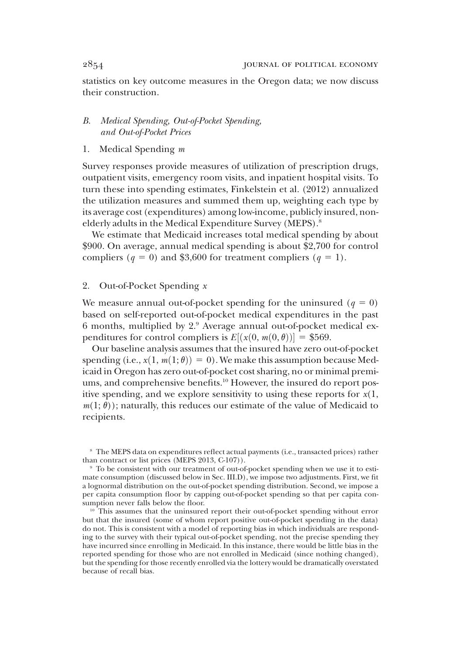statistics on key outcome measures in the Oregon data; we now discuss their construction.

# B. Medical Spending, Out-of-Pocket Spending, and Out-of-Pocket Prices

1. Medical Spending m

Survey responses provide measures of utilization of prescription drugs, outpatient visits, emergency room visits, and inpatient hospital visits. To turn these into spending estimates, Finkelstein et al. (2012) annualized the utilization measures and summed them up, weighting each type by its average cost (expenditures) among low-income, publicly insured, nonelderly adults in the Medical Expenditure Survey (MEPS).<sup>8</sup>

We estimate that Medicaid increases total medical spending by about \$900. On average, annual medical spending is about \$2,700 for control compliers ( $q = 0$ ) and \$3,600 for treatment compliers ( $q = 1$ ).

#### 2. Out-of-Pocket Spending x

We measure annual out-of-pocket spending for the uninsured  $(q = 0)$ based on self-reported out-of-pocket medical expenditures in the past 6 months, multiplied by  $2<sup>9</sup>$  Average annual out-of-pocket medical expenditures for control compliers is  $E[(x(0, m(0, \theta))] = $569.$ 

Our baseline analysis assumes that the insured have zero out-of-pocket spending (i.e.,  $x(1, m(1; \theta)) = 0$ ). We make this assumption because Medicaid in Oregon has zero out-of-pocket cost sharing, no or minimal premiums, and comprehensive benefits.<sup>10</sup> However, the insured do report positive spending, and we explore sensitivity to using these reports for  $x(1,$  $m(1; \theta)$ ; naturally, this reduces our estimate of the value of Medicaid to recipients.

<sup>8</sup> The MEPS data on expenditures reflect actual payments (i.e., transacted prices) rather than contract or list prices (MEPS 2013, C-107)).

<sup>9</sup> To be consistent with our treatment of out-of-pocket spending when we use it to estimate consumption (discussed below in Sec. III.D), we impose two adjustments. First, we fit a lognormal distribution on the out-of-pocket spending distribution. Second, we impose a per capita consumption floor by capping out-of-pocket spending so that per capita consumption never falls below the floor.

<sup>&</sup>lt;sup>10</sup> This assumes that the uninsured report their out-of-pocket spending without error but that the insured (some of whom report positive out-of-pocket spending in the data) do not. This is consistent with a model of reporting bias in which individuals are responding to the survey with their typical out-of-pocket spending, not the precise spending they have incurred since enrolling in Medicaid. In this instance, there would be little bias in the reported spending for those who are not enrolled in Medicaid (since nothing changed), but the spending for those recently enrolled via the lottery would be dramatically overstated because of recall bias.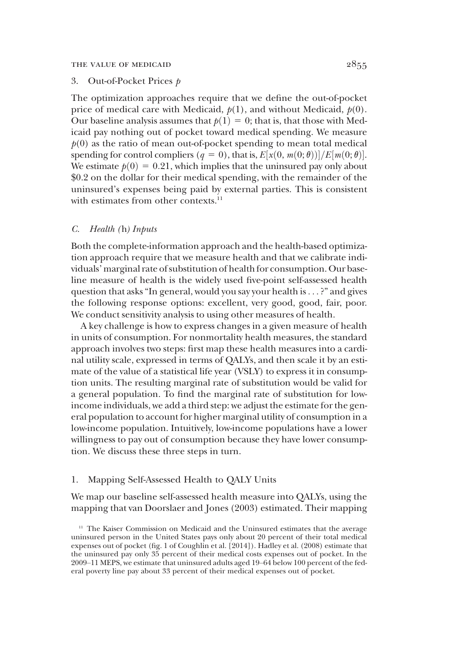#### THE VALUE OF MEDICAID  $2855$

### 3. Out-of-Pocket Prices p

The optimization approaches require that we define the out-of-pocket price of medical care with Medicaid,  $p(1)$ , and without Medicaid,  $p(0)$ . Our baseline analysis assumes that  $p(1) = 0$ ; that is, that those with Medicaid pay nothing out of pocket toward medical spending. We measure  $p(0)$  as the ratio of mean out-of-pocket spending to mean total medical spending for control compliers  $(q = 0)$ , that is,  $E[x(0, m(0; \theta))] / E[m(0; \theta)]$ .<br>We estimate  $h(0) = 0.21$ , which implies that the uninsured pay only about We estimate  $p(0) = 0.21$ , which implies that the uninsured pay only about \$0.2 on the dollar for their medical spending, with the remainder of the uninsured's expenses being paid by external parties. This is consistent with estimates from other contexts.<sup>11</sup>

#### C. Health (h) Inputs

Both the complete-information approach and the health-based optimization approach require that we measure health and that we calibrate individuals' marginal rate of substitution of health for consumption. Our baseline measure of health is the widely used five-point self-assessed health question that asks"In general, would you say your health is ... ?" and gives the following response options: excellent, very good, good, fair, poor. We conduct sensitivity analysis to using other measures of health.

A key challenge is how to express changes in a given measure of health in units of consumption. For nonmortality health measures, the standard approach involves two steps: first map these health measures into a cardinal utility scale, expressed in terms of QALYs, and then scale it by an estimate of the value of a statistical life year (VSLY) to express it in consumption units. The resulting marginal rate of substitution would be valid for a general population. To find the marginal rate of substitution for lowincome individuals, we add a third step: we adjust the estimate for the general population to account for higher marginal utility of consumption in a low-income population. Intuitively, low-income populations have a lower willingness to pay out of consumption because they have lower consumption. We discuss these three steps in turn.

#### 1. Mapping Self-Assessed Health to QALY Units

We map our baseline self-assessed health measure into QALYs, using the mapping that van Doorslaer and Jones (2003) estimated. Their mapping

<sup>11</sup> The Kaiser Commission on Medicaid and the Uninsured estimates that the average uninsured person in the United States pays only about 20 percent of their total medical expenses out of pocket (fig. 1 of Coughlin et al. [2014]). Hadley et al. (2008) estimate that the uninsured pay only 35 percent of their medical costs expenses out of pocket. In the 2009–11 MEPS, we estimate that uninsured adults aged 19–64 below 100 percent of the federal poverty line pay about 33 percent of their medical expenses out of pocket.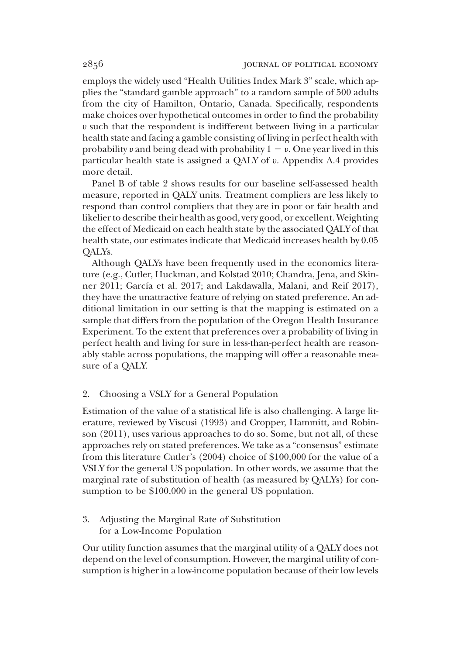employs the widely used "Health Utilities Index Mark 3" scale, which applies the "standard gamble approach" to a random sample of 500 adults from the city of Hamilton, Ontario, Canada. Specifically, respondents make choices over hypothetical outcomes in order to find the probability u such that the respondent is indifferent between living in a particular health state and facing a gamble consisting of living in perfect health with probability v and being dead with probability  $1 - v$ . One year lived in this particular health state is assigned a QALY of u. Appendix A.4 provides more detail.

Panel B of table 2 shows results for our baseline self-assessed health measure, reported in QALY units. Treatment compliers are less likely to respond than control compliers that they are in poor or fair health and likelier to describe their health as good, very good, or excellent. Weighting the effect of Medicaid on each health state by the associated QALY of that health state, our estimates indicate that Medicaid increases health by 0.05 QALYs.

Although QALYs have been frequently used in the economics literature (e.g., Cutler, Huckman, and Kolstad 2010; Chandra, Jena, and Skinner 2011; García et al. 2017; and Lakdawalla, Malani, and Reif 2017), they have the unattractive feature of relying on stated preference. An additional limitation in our setting is that the mapping is estimated on a sample that differs from the population of the Oregon Health Insurance Experiment. To the extent that preferences over a probability of living in perfect health and living for sure in less-than-perfect health are reasonably stable across populations, the mapping will offer a reasonable measure of a QALY.

# 2. Choosing a VSLY for a General Population

Estimation of the value of a statistical life is also challenging. A large literature, reviewed by Viscusi (1993) and Cropper, Hammitt, and Robinson (2011), uses various approaches to do so. Some, but not all, of these approaches rely on stated preferences. We take as a "consensus" estimate from this literature Cutler's (2004) choice of \$100,000 for the value of a VSLY for the general US population. In other words, we assume that the marginal rate of substitution of health (as measured by QALYs) for consumption to be \$100,000 in the general US population.

3. Adjusting the Marginal Rate of Substitution for a Low-Income Population

Our utility function assumes that the marginal utility of a QALY does not depend on the level of consumption. However, the marginal utility of consumption is higher in a low-income population because of their low levels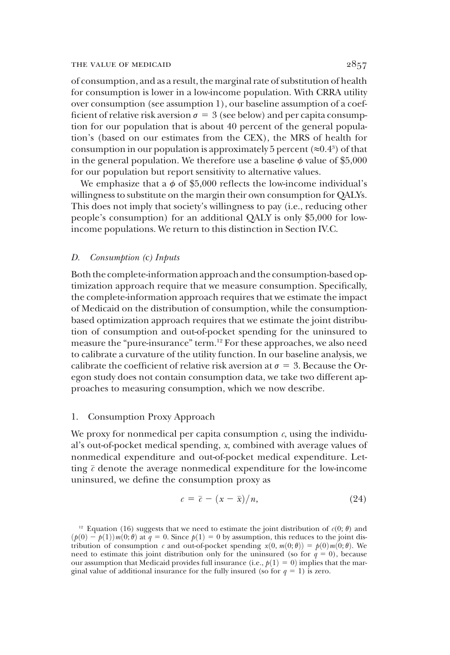#### THE VALUE OF MEDICAID  $2857$

of consumption, and as a result, the marginal rate of substitution of health for consumption is lower in a low-income population. With CRRA utility over consumption (see assumption 1), our baseline assumption of a coefficient of relative risk aversion  $\sigma = 3$  (see below) and per capita consumption for our population that is about 40 percent of the general population's (based on our estimates from the CEX), the MRS of health for consumption in our population is approximately 5 percent  $(\approx 0.4^3)$  of that in the general population. We therefore use a baseline  $\phi$  value of \$5,000 for our population but report sensitivity to alternative values.

We emphasize that a  $\phi$  of \$5,000 reflects the low-income individual's willingness to substitute on the margin their own consumption for QALYs. This does not imply that society's willingness to pay (i.e., reducing other people's consumption) for an additional QALY is only \$5,000 for lowincome populations. We return to this distinction in Section IV.C.

## D. Consumption (c) Inputs

Both the complete-information approach and the consumption-based optimization approach require that we measure consumption. Specifically, the complete-information approach requires that we estimate the impact of Medicaid on the distribution of consumption, while the consumptionbased optimization approach requires that we estimate the joint distribution of consumption and out-of-pocket spending for the uninsured to measure the "pure-insurance" term.12 For these approaches, we also need to calibrate a curvature of the utility function. In our baseline analysis, we calibrate the coefficient of relative risk aversion at  $\sigma = 3$ . Because the Oregon study does not contain consumption data, we take two different approaches to measuring consumption, which we now describe.

# 1. Consumption Proxy Approach

We proxy for nonmedical per capita consumption  $c$ , using the individual's out-of-pocket medical spending, x, combined with average values of nonmedical expenditure and out-of-pocket medical expenditure. Letting  $\bar{c}$  denote the average nonmedical expenditure for the low-income uninsured, we define the consumption proxy as

$$
c = \bar{c} - (x - \bar{x})/n, \tag{24}
$$

<sup>&</sup>lt;sup>12</sup> Equation (16) suggests that we need to estimate the joint distribution of  $c(0; \theta)$  and  $(p(0) - p(1))m(0;\theta)$  at  $q = 0$ . Since  $p(1) = 0$  by assumption, this reduces to the joint distribution of consumption c and out-of-pocket spending  $x(0, m(0; \theta)) = p(0)m(0; \theta)$ . We need to estimate this joint distribution only for the uninsured (so for  $q = 0$ ), because our assumption that Medicaid provides full insurance (i.e.,  $p(1) = 0$ ) implies that the marginal value of additional insurance for the fully insured (so for  $q = 1$ ) is zero.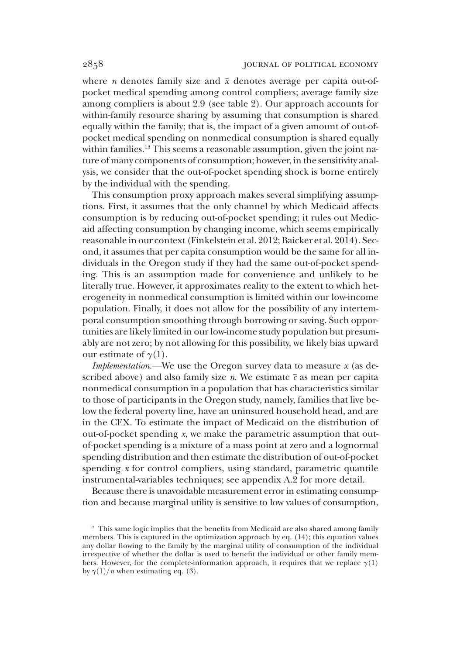where *n* denotes family size and  $\bar{x}$  denotes average per capita out-ofpocket medical spending among control compliers; average family size among compliers is about 2.9 (see table 2). Our approach accounts for within-family resource sharing by assuming that consumption is shared equally within the family; that is, the impact of a given amount of out-ofpocket medical spending on nonmedical consumption is shared equally within families.<sup>13</sup> This seems a reasonable assumption, given the joint nature of many components of consumption; however, in the sensitivity analysis, we consider that the out-of-pocket spending shock is borne entirely by the individual with the spending.

This consumption proxy approach makes several simplifying assumptions. First, it assumes that the only channel by which Medicaid affects consumption is by reducing out-of-pocket spending; it rules out Medicaid affecting consumption by changing income, which seems empirically reasonable in our context (Finkelstein et al. 2012; Baicker et al. 2014). Second, it assumes that per capita consumption would be the same for all individuals in the Oregon study if they had the same out-of-pocket spending. This is an assumption made for convenience and unlikely to be literally true. However, it approximates reality to the extent to which heterogeneity in nonmedical consumption is limited within our low-income population. Finally, it does not allow for the possibility of any intertemporal consumption smoothing through borrowing or saving. Such opportunities are likely limited in our low-income study population but presumably are not zero; by not allowing for this possibility, we likely bias upward our estimate of  $\gamma(1)$ .

*Implementation*.—We use the Oregon survey data to measure  $x$  (as described above) and also family size *n*. We estimate  $\bar{c}$  as mean per capita nonmedical consumption in a population that has characteristics similar to those of participants in the Oregon study, namely, families that live below the federal poverty line, have an uninsured household head, and are in the CEX. To estimate the impact of Medicaid on the distribution of out-of-pocket spending  $x$ , we make the parametric assumption that outof-pocket spending is a mixture of a mass point at zero and a lognormal spending distribution and then estimate the distribution of out-of-pocket spending x for control compliers, using standard, parametric quantile instrumental-variables techniques; see appendix A.2 for more detail.

Because there is unavoidable measurement error in estimating consumption and because marginal utility is sensitive to low values of consumption,

<sup>&</sup>lt;sup>13</sup> This same logic implies that the benefits from Medicaid are also shared among family members. This is captured in the optimization approach by eq. (14); this equation values any dollar flowing to the family by the marginal utility of consumption of the individual irrespective of whether the dollar is used to benefit the individual or other family members. However, for the complete-information approach, it requires that we replace  $\gamma(1)$ by  $\gamma(1)/n$  when estimating eq. (3).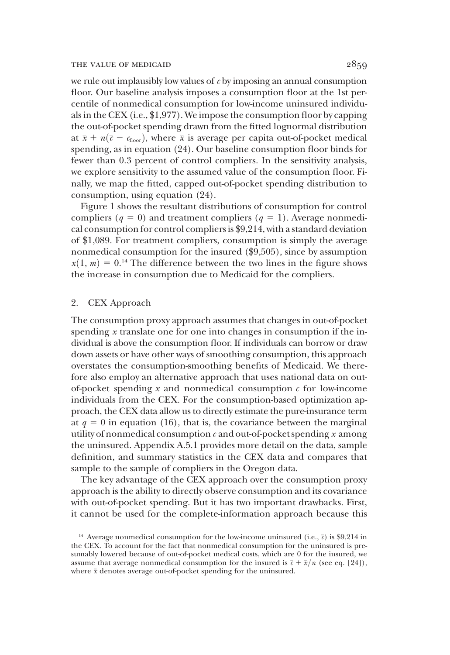we rule out implausibly low values of  $c$  by imposing an annual consumption floor. Our baseline analysis imposes a consumption floor at the 1st percentile of nonmedical consumption for low-income uninsured individuals in the CEX (i.e., \$1,977). We impose the consumption floor by capping the out-of-pocket spending drawn from the fitted lognormal distribution at  $\bar{x} + n(\bar{c} - c_{floor})$ , where  $\bar{x}$  is average per capita out-of-pocket medical spending, as in equation (24). Our baseline consumption floor binds for fewer than 0.3 percent of control compliers. In the sensitivity analysis, we explore sensitivity to the assumed value of the consumption floor. Finally, we map the fitted, capped out-of-pocket spending distribution to consumption, using equation (24).

Figure 1 shows the resultant distributions of consumption for control compliers ( $q = 0$ ) and treatment compliers ( $q = 1$ ). Average nonmedical consumption for control compliers is \$9,214, with a standard deviation of \$1,089. For treatment compliers, consumption is simply the average nonmedical consumption for the insured (\$9,505), since by assumption  $x(1, m) = 0$ <sup>14</sup>. The difference between the two lines in the figure shows the increase in consumption due to Medicaid for the compliers.

# 2. CEX Approach

The consumption proxy approach assumes that changes in out-of-pocket spending x translate one for one into changes in consumption if the individual is above the consumption floor. If individuals can borrow or draw down assets or have other ways of smoothing consumption, this approach overstates the consumption-smoothing benefits of Medicaid. We therefore also employ an alternative approach that uses national data on outof-pocket spending  $x$  and nonmedical consumption  $c$  for low-income individuals from the CEX. For the consumption-based optimization approach, the CEX data allow us to directly estimate the pure-insurance term at  $q = 0$  in equation (16), that is, the covariance between the marginal utility of nonmedical consumption  $c$  and out-of-pocket spending x among the uninsured. Appendix A.5.1 provides more detail on the data, sample definition, and summary statistics in the CEX data and compares that sample to the sample of compliers in the Oregon data.

The key advantage of the CEX approach over the consumption proxy approach is the ability to directly observe consumption and its covariance with out-of-pocket spending. But it has two important drawbacks. First, it cannot be used for the complete-information approach because this

<sup>&</sup>lt;sup>14</sup> Average nonmedical consumption for the low-income uninsured (i.e.,  $\bar{c}$ ) is \$9,214 in the CEX. To account for the fact that nonmedical consumption for the uninsured is presumably lowered because of out-of-pocket medical costs, which are 0 for the insured, we assume that average nonmedical consumption for the insured is  $\bar{c} + \bar{x}/n$  (see eq. [24]), where  $\bar{x}$  denotes average out-of-pocket spending for the uninsured.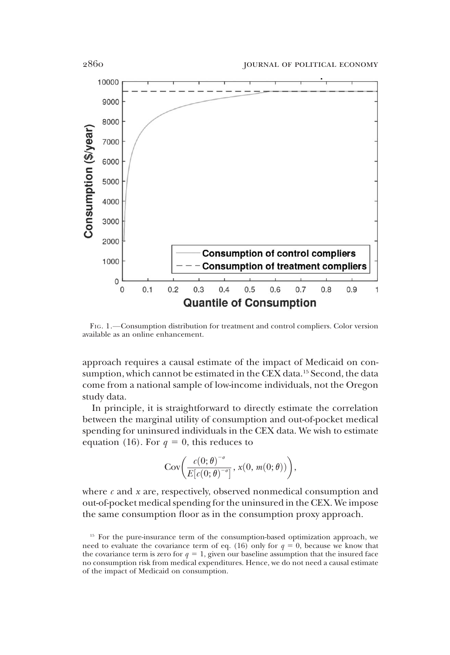

FIG. 1.—Consumption distribution for treatment and control compliers. Color version available as an online enhancement.

approach requires a causal estimate of the impact of Medicaid on consumption, which cannot be estimated in the CEX data.<sup>15</sup> Second, the data come from a national sample of low-income individuals, not the Oregon study data.

In principle, it is straightforward to directly estimate the correlation between the marginal utility of consumption and out-of-pocket medical spending for uninsured individuals in the CEX data. We wish to estimate equation (16). For  $q = 0$ , this reduces to

$$
Cov\bigg(\frac{c(0;\theta)^{-\sigma}}{E[c(0;\theta)^{-\sigma}]}, x(0, m(0;\theta))\bigg),\,
$$

where  $c$  and  $x$  are, respectively, observed nonmedical consumption and out-of-pocket medical spending for the uninsured in the CEX. We impose the same consumption floor as in the consumption proxy approach.

<sup>&</sup>lt;sup>15</sup> For the pure-insurance term of the consumption-based optimization approach, we need to evaluate the covariance term of eq. (16) only for  $q = 0$ , because we know that the covariance term is zero for  $q = 1$ , given our baseline assumption that the insured face no consumption risk from medical expenditures. Hence, we do not need a causal estimate of the impact of Medicaid on consumption.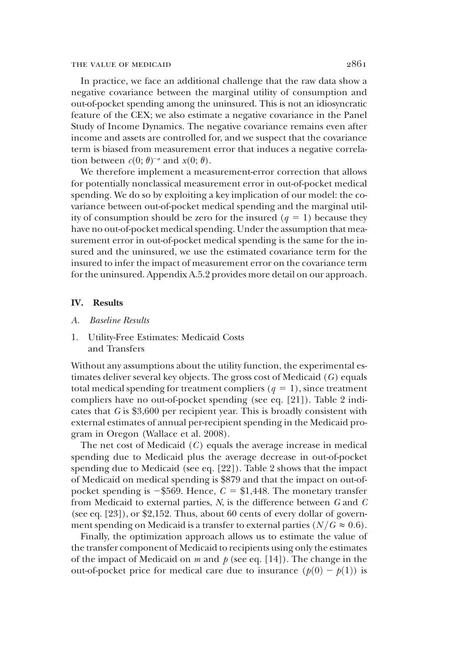In practice, we face an additional challenge that the raw data show a negative covariance between the marginal utility of consumption and out-of-pocket spending among the uninsured. This is not an idiosyncratic feature of the CEX; we also estimate a negative covariance in the Panel Study of Income Dynamics. The negative covariance remains even after income and assets are controlled for, and we suspect that the covariance term is biased from measurement error that induces a negative correlation between  $c(0; \theta)^{-\sigma}$  and  $x(0; \theta)$ .<br>We therefore implement a mea

We therefore implement a measurement-error correction that allows for potentially nonclassical measurement error in out-of-pocket medical spending. We do so by exploiting a key implication of our model: the covariance between out-of-pocket medical spending and the marginal utility of consumption should be zero for the insured  $(q = 1)$  because they have no out-of-pocket medical spending. Under the assumption that measurement error in out-of-pocket medical spending is the same for the insured and the uninsured, we use the estimated covariance term for the insured to infer the impact of measurement error on the covariance term for the uninsured. Appendix A.5.2 provides more detail on our approach.

## IV. Results

- A. Baseline Results
- 1. Utility-Free Estimates: Medicaid Costs and Transfers

Without any assumptions about the utility function, the experimental estimates deliver several key objects. The gross cost of Medicaid (G) equals total medical spending for treatment compliers  $(q = 1)$ , since treatment compliers have no out-of-pocket spending (see eq. [21]). Table 2 indicates that G is \$3,600 per recipient year. This is broadly consistent with external estimates of annual per-recipient spending in the Medicaid program in Oregon (Wallace et al. 2008).

The net cost of Medicaid (C) equals the average increase in medical spending due to Medicaid plus the average decrease in out-of-pocket spending due to Medicaid (see eq. [22]). Table 2 shows that the impact of Medicaid on medical spending is \$879 and that the impact on out-ofpocket spending is  $-\$569$ . Hence,  $C = \$1,448$ . The monetary transfer from Medicaid to external parties,  $N$ , is the difference between  $G$  and  $C$ (see eq. [23]), or \$2,152. Thus, about 60 cents of every dollar of government spending on Medicaid is a transfer to external parties ( $N/G \approx 0.6$ ).

Finally, the optimization approach allows us to estimate the value of the transfer component of Medicaid to recipients using only the estimates of the impact of Medicaid on  $m$  and  $p$  (see eq. [14]). The change in the out-of-pocket price for medical care due to insurance  $(p(0) - p(1))$  is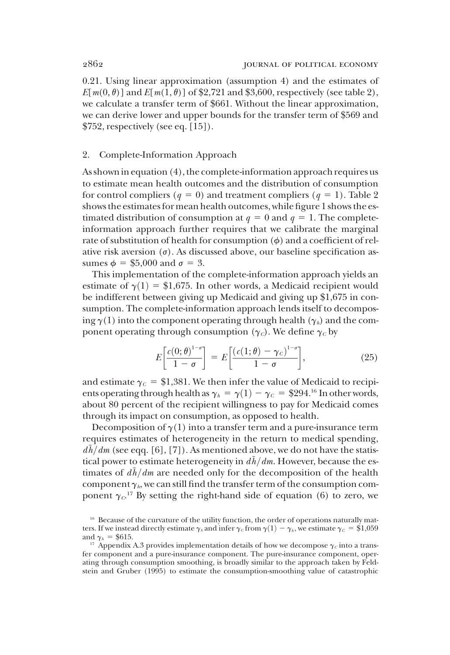0.21. Using linear approximation (assumption 4) and the estimates of  $E[m(0, \theta)]$  and  $E[m(1, \theta)]$  of \$2,721 and \$3,600, respectively (see table 2), we calculate a transfer term of \$661. Without the linear approximation, we can derive lower and upper bounds for the transfer term of \$569 and  $$752$ , respectively (see eq. [15]).

## 2. Complete-Information Approach

As shownin equation (4), the complete-information approach requires us to estimate mean health outcomes and the distribution of consumption for control compliers ( $q = 0$ ) and treatment compliers ( $q = 1$ ). Table 2 shows the estimates for mean health outcomes, while figure 1 shows the estimated distribution of consumption at  $q = 0$  and  $q = 1$ . The completeinformation approach further requires that we calibrate the marginal rate of substitution of health for consumption  $(\phi)$  and a coefficient of relative risk aversion  $(\sigma)$ . As discussed above, our baseline specification assumes  $\phi = $5,000$  and  $\sigma = 3$ .

This implementation of the complete-information approach yields an estimate of  $\gamma(1) = $1,675$ . In other words, a Medicaid recipient would be indifferent between giving up Medicaid and giving up \$1,675 in consumption. The complete-information approach lends itself to decomposing  $\gamma(1)$  into the component operating through health ( $\gamma_h$ ) and the component operating through consumption  $(\gamma_c)$ . We define  $\gamma_c$  by

$$
E\left[\frac{c(0;\theta)^{1-\sigma}}{1-\sigma}\right] = E\left[\frac{(c(1;\theta)-\gamma_c)^{1-\sigma}}{1-\sigma}\right],\tag{25}
$$

and estimate  $\gamma_c = $1,381$ . We then infer the value of Medicaid to recipients operating through health as  $\gamma_h = \gamma(1) - \gamma_c = $294$ .<sup>16</sup> In other words, about 80 percent of the recipient willingness to pay for Medicaid comes through its impact on consumption, as opposed to health.

Decomposition of  $\gamma(1)$  into a transfer term and a pure-insurance term requires estimates of heterogeneity in the return to medical spending,  $d\tilde{h}/dm$  (see eqq. [6], [7]). As mentioned above, we do not have the statistical power to estimate heterogeneity in  $d\tilde{h}/dm$ . However, because the estimates of  $d\tilde{h}/dm$  are needed only for the decomposition of the health component  $\gamma_h$ , we can still find the transfer term of the consumption component  $\gamma c^{17}$  By setting the right-hand side of equation (6) to zero, we

<sup>&</sup>lt;sup>16</sup> Because of the curvature of the utility function, the order of operations naturally matters. If we instead directly estimate  $\gamma_h$  and infer  $\gamma_c$  from  $\gamma(1) - \gamma_h$ , we estimate  $\gamma_c = $1,059$  and  $\gamma_h = $615$ .

<sup>&</sup>lt;sup>17</sup> Appendix A.3 provides implementation details of how we decompose  $\gamma_c$  into a transfer component and a pure-insurance component. The pure-insurance component, operating through consumption smoothing, is broadly similar to the approach taken by Feldstein and Gruber (1995) to estimate the consumption-smoothing value of catastrophic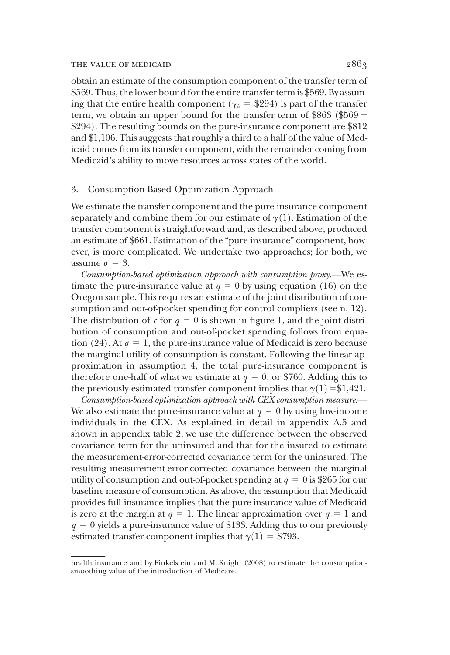obtain an estimate of the consumption component of the transfer term of \$569. Thus, the lower bound for the entire transfer term is \$569. By assuming that the entire health component ( $\gamma_h$  = \$294) is part of the transfer term, we obtain an upper bound for the transfer term of \$863 (\$569 + \$294). The resulting bounds on the pure-insurance component are \$812 and \$1,106. This suggests that roughly a third to a half of the value of Medicaid comes from its transfer component, with the remainder coming from Medicaid's ability to move resources across states of the world.

# 3. Consumption-Based Optimization Approach

We estimate the transfer component and the pure-insurance component separately and combine them for our estimate of  $\gamma(1)$ . Estimation of the transfer component is straightforward and, as described above, produced an estimate of \$661. Estimation of the "pure-insurance" component, however, is more complicated. We undertake two approaches; for both, we assume  $\sigma = 3$ .

Consumption-based optimization approach with consumption proxy.—We estimate the pure-insurance value at  $q = 0$  by using equation (16) on the Oregon sample. This requires an estimate of the joint distribution of consumption and out-of-pocket spending for control compliers (see n. 12). The distribution of c for  $q = 0$  is shown in figure 1, and the joint distribution of consumption and out-of-pocket spending follows from equation (24). At  $q = 1$ , the pure-insurance value of Medicaid is zero because the marginal utility of consumption is constant. Following the linear approximation in assumption 4, the total pure-insurance component is therefore one-half of what we estimate at  $q = 0$ , or \$760. Adding this to the previously estimated transfer component implies that  $\gamma(1) = 1,421$ .

Consumption-based optimization approach with CEX consumption measure.— We also estimate the pure-insurance value at  $q = 0$  by using low-income individuals in the CEX. As explained in detail in appendix A.5 and shown in appendix table 2, we use the difference between the observed covariance term for the uninsured and that for the insured to estimate the measurement-error-corrected covariance term for the uninsured. The resulting measurement-error-corrected covariance between the marginal utility of consumption and out-of-pocket spending at  $q = 0$  is \$265 for our baseline measure of consumption. As above, the assumption that Medicaid provides full insurance implies that the pure-insurance value of Medicaid is zero at the margin at  $q = 1$ . The linear approximation over  $q = 1$  and  $q = 0$  yields a pure-insurance value of \$133. Adding this to our previously estimated transfer component implies that  $\gamma(1) = $793$ .

health insurance and by Finkelstein and McKnight (2008) to estimate the consumptionsmoothing value of the introduction of Medicare.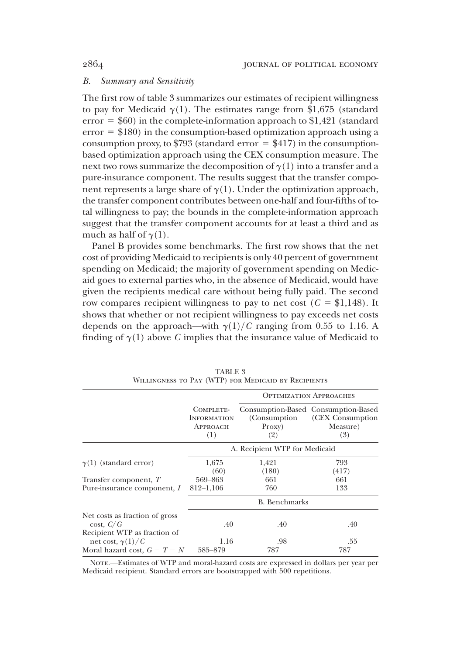# B. Summary and Sensitivity

The first row of table 3 summarizes our estimates of recipient willingness to pay for Medicaid  $\gamma(1)$ . The estimates range from \$1,675 (standard error  $= $60$ ) in the complete-information approach to \$1,421 (standard  $error = $180$ ) in the consumption-based optimization approach using a consumption proxy, to  $$793$  (standard error = \$417) in the consumptionbased optimization approach using the CEX consumption measure. The next two rows summarize the decomposition of  $\gamma(1)$  into a transfer and a pure-insurance component. The results suggest that the transfer component represents a large share of  $\gamma(1)$ . Under the optimization approach, the transfer component contributes between one-half and four-fifths of total willingness to pay; the bounds in the complete-information approach suggest that the transfer component accounts for at least a third and as much as half of  $\gamma(1)$ .

Panel B provides some benchmarks. The first row shows that the net cost of providing Medicaid to recipients is only 40 percent of government spending on Medicaid; the majority of government spending on Medicaid goes to external parties who, in the absence of Medicaid, would have given the recipients medical care without being fully paid. The second row compares recipient willingness to pay to net cost ( $C = $1,148$ ). It shows that whether or not recipient willingness to pay exceeds net costs depends on the approach—with  $\gamma(1)/C$  ranging from 0.55 to 1.16. A finding of  $\gamma(1)$  above C implies that the insurance value of Medicaid to

|                                                                             |                                                    | <b>OPTIMIZATION APPROACHES</b> |                                                                            |  |
|-----------------------------------------------------------------------------|----------------------------------------------------|--------------------------------|----------------------------------------------------------------------------|--|
|                                                                             | COMPLETE-<br><b>INFORMATION</b><br>APPROACH<br>(1) | (Consumption)<br>Proxy)<br>(2) | Consumption-Based Consumption-Based<br>(CEX Consumption<br>Measure)<br>(3) |  |
|                                                                             | A. Recipient WTP for Medicaid                      |                                |                                                                            |  |
| $\gamma(1)$ (standard error)                                                | 1,675<br>(60)                                      | 1,421<br>(180)                 | 793<br>(417)                                                               |  |
| Transfer component, T                                                       | 569-863                                            | 661                            | 661                                                                        |  |
| Pure-insurance component, I                                                 | $812 - 1,106$                                      | 760                            | 133                                                                        |  |
|                                                                             | <b>B.</b> Benchmarks                               |                                |                                                                            |  |
| Net costs as fraction of gross<br>cost, C/G<br>Recipient WTP as fraction of | .40                                                | .40                            | .40                                                                        |  |
| net cost, $\gamma(1)/C$                                                     | 1.16                                               | .98                            | .55                                                                        |  |
| Moral hazard cost, $G - T - N$                                              | 585-879                                            | 787                            | 787                                                                        |  |

TABLE 3 Willingness to Pay (WTP) for Medicaid by Recipients

Note.—Estimates of WTP and moral-hazard costs are expressed in dollars per year per Medicaid recipient. Standard errors are bootstrapped with 500 repetitions.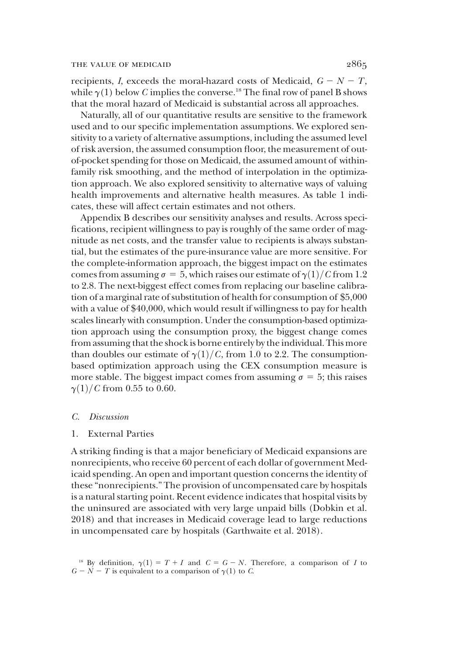recipients, I, exceeds the moral-hazard costs of Medicaid,  $G - N - T$ , while  $\gamma(1)$  below C implies the converse.<sup>18</sup> The final row of panel B shows that the moral hazard of Medicaid is substantial across all approaches.

Naturally, all of our quantitative results are sensitive to the framework used and to our specific implementation assumptions. We explored sensitivity to a variety of alternative assumptions, including the assumed level of risk aversion, the assumed consumption floor, the measurement of outof-pocket spending for those on Medicaid, the assumed amount of withinfamily risk smoothing, and the method of interpolation in the optimization approach. We also explored sensitivity to alternative ways of valuing health improvements and alternative health measures. As table 1 indicates, these will affect certain estimates and not others.

Appendix B describes our sensitivity analyses and results. Across specifications, recipient willingness to pay is roughly of the same order of magnitude as net costs, and the transfer value to recipients is always substantial, but the estimates of the pure-insurance value are more sensitive. For the complete-information approach, the biggest impact on the estimates comes from assuming  $\sigma = 5$ , which raises our estimate of  $\gamma(1)/C$  from 1.2 to 2.8. The next-biggest effect comes from replacing our baseline calibration of a marginal rate of substitution of health for consumption of \$5,000 with a value of \$40,000, which would result if willingness to pay for health scales linearly with consumption. Under the consumption-based optimization approach using the consumption proxy, the biggest change comes from assuming that the shock is borne entirely by the individual. This more than doubles our estimate of  $\gamma(1)/C$ , from 1.0 to 2.2. The consumptionbased optimization approach using the CEX consumption measure is more stable. The biggest impact comes from assuming  $\sigma = 5$ ; this raises  $\gamma(1)/C$  from 0.55 to 0.60.

#### C. Discussion

## 1. External Parties

A striking finding is that a major beneficiary of Medicaid expansions are nonrecipients, who receive 60 percent of each dollar of government Medicaid spending. An open and important question concerns the identity of these "nonrecipients." The provision of uncompensated care by hospitals is a natural starting point. Recent evidence indicates that hospital visits by the uninsured are associated with very large unpaid bills (Dobkin et al. 2018) and that increases in Medicaid coverage lead to large reductions in uncompensated care by hospitals (Garthwaite et al. 2018).

<sup>&</sup>lt;sup>18</sup> By definition,  $\gamma(1) = T + I$  and  $C = G - N$ . Therefore, a comparison of I to  $G - N - T$  is equivalent to a comparison of  $\gamma(1)$  to C.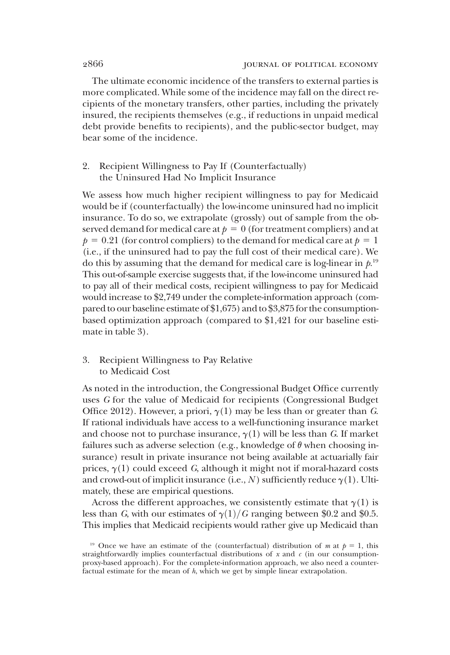The ultimate economic incidence of the transfers to external parties is more complicated. While some of the incidence may fall on the direct recipients of the monetary transfers, other parties, including the privately insured, the recipients themselves (e.g., if reductions in unpaid medical debt provide benefits to recipients), and the public-sector budget, may bear some of the incidence.

# 2. Recipient Willingness to Pay If (Counterfactually) the Uninsured Had No Implicit Insurance

We assess how much higher recipient willingness to pay for Medicaid would be if (counterfactually) the low-income uninsured had no implicit insurance. To do so, we extrapolate (grossly) out of sample from the observed demand for medical care at  $p = 0$  (for treatment compliers) and at  $p = 0.21$  (for control compliers) to the demand for medical care at  $p = 1$ (i.e., if the uninsured had to pay the full cost of their medical care). We do this by assuming that the demand for medical care is log-linear in  $\rho^{19}$ This out-of-sample exercise suggests that, if the low-income uninsured had to pay all of their medical costs, recipient willingness to pay for Medicaid would increase to \$2,749 under the complete-information approach (compared to our baseline estimate of  $$1,675$ ) and to  $$3,875$  for the consumptionbased optimization approach (compared to \$1,421 for our baseline estimate in table 3).

# 3. Recipient Willingness to Pay Relative to Medicaid Cost

As noted in the introduction, the Congressional Budget Office currently uses G for the value of Medicaid for recipients (Congressional Budget Office 2012). However, a priori,  $\gamma(1)$  may be less than or greater than G. If rational individuals have access to a well-functioning insurance market and choose not to purchase insurance,  $\gamma(1)$  will be less than G. If market failures such as adverse selection (e.g., knowledge of  $\theta$  when choosing insurance) result in private insurance not being available at actuarially fair prices,  $\gamma(1)$  could exceed G, although it might not if moral-hazard costs and crowd-out of implicit insurance (i.e., N) sufficiently reduce  $\gamma(1)$ . Ultimately, these are empirical questions.

Across the different approaches, we consistently estimate that  $\gamma(1)$  is less than G, with our estimates of  $\gamma(1)/G$  ranging between \$0.2 and \$0.5. This implies that Medicaid recipients would rather give up Medicaid than

<sup>&</sup>lt;sup>19</sup> Once we have an estimate of the (counterfactual) distribution of m at  $p = 1$ , this straightforwardly implies counterfactual distributions of x and  $c$  (in our consumptionproxy-based approach). For the complete-information approach, we also need a counterfactual estimate for the mean of h, which we get by simple linear extrapolation.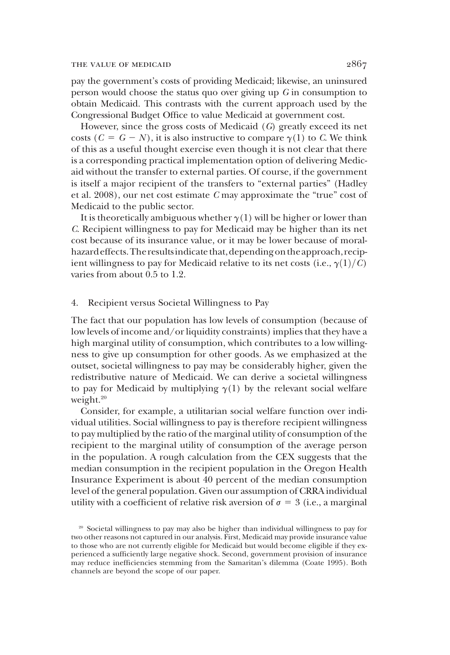pay the government's costs of providing Medicaid; likewise, an uninsured person would choose the status quo over giving up G in consumption to obtain Medicaid. This contrasts with the current approach used by the Congressional Budget Office to value Medicaid at government cost.

However, since the gross costs of Medicaid (G) greatly exceed its net costs  $(C = G - N)$ , it is also instructive to compare  $\gamma(1)$  to C. We think of this as a useful thought exercise even though it is not clear that there is a corresponding practical implementation option of delivering Medicaid without the transfer to external parties. Of course, if the government is itself a major recipient of the transfers to "external parties" (Hadley et al. 2008), our net cost estimate C may approximate the "true" cost of Medicaid to the public sector.

It is theoretically ambiguous whether  $\gamma(1)$  will be higher or lower than C. Recipient willingness to pay for Medicaid may be higher than its net cost because of its insurance value, or it may be lower because of moralhazard effects. The results indicate that, depending on the approach, recipient willingness to pay for Medicaid relative to its net costs (i.e.,  $\gamma(1)/C$ ) varies from about 0.5 to 1.2.

# 4. Recipient versus Societal Willingness to Pay

The fact that our population has low levels of consumption (because of low levels of income and/or liquidity constraints) implies that they have a high marginal utility of consumption, which contributes to a low willingness to give up consumption for other goods. As we emphasized at the outset, societal willingness to pay may be considerably higher, given the redistributive nature of Medicaid. We can derive a societal willingness to pay for Medicaid by multiplying  $\gamma(1)$  by the relevant social welfare weight.<sup>20</sup>

Consider, for example, a utilitarian social welfare function over individual utilities. Social willingness to pay is therefore recipient willingness to pay multiplied by the ratio of the marginal utility of consumption of the recipient to the marginal utility of consumption of the average person in the population. A rough calculation from the CEX suggests that the median consumption in the recipient population in the Oregon Health Insurance Experiment is about 40 percent of the median consumption level of the general population. Given our assumption of CRRA individual utility with a coefficient of relative risk aversion of  $\sigma = 3$  (i.e., a marginal

<sup>&</sup>lt;sup>20</sup> Societal willingness to pay may also be higher than individual willingness to pay for two other reasons not captured in our analysis. First, Medicaid may provide insurance value to those who are not currently eligible for Medicaid but would become eligible if they experienced a sufficiently large negative shock. Second, government provision of insurance may reduce inefficiencies stemming from the Samaritan's dilemma (Coate 1995). Both channels are beyond the scope of our paper.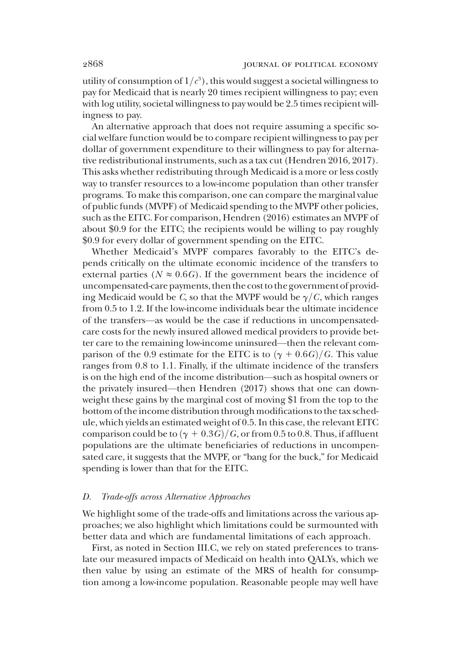utility of consumption of  $1/c^3$  ), this would suggest a societal willingness to pay for Medicaid that is nearly 20 times recipient willingness to pay; even with log utility, societal willingness to pay would be 2.5 times recipient willingness to pay.

An alternative approach that does not require assuming a specific social welfare function would be to compare recipient willingness to pay per dollar of government expenditure to their willingness to pay for alternative redistributional instruments, such as a tax cut (Hendren 2016, 2017). This asks whether redistributing through Medicaid is a more or less costly way to transfer resources to a low-income population than other transfer programs. To make this comparison, one can compare the marginal value of public funds (MVPF) of Medicaid spending to the MVPF other policies, such as the EITC. For comparison, Hendren (2016) estimates an MVPF of about \$0.9 for the EITC; the recipients would be willing to pay roughly \$0.9 for every dollar of government spending on the EITC.

Whether Medicaid's MVPF compares favorably to the EITC's depends critically on the ultimate economic incidence of the transfers to external parties ( $N \approx 0.6$ ). If the government bears the incidence of uncompensated-care payments, then the cost to the government of providing Medicaid would be C, so that the MVPF would be  $\gamma/C$ , which ranges from 0.5 to 1.2. If the low-income individuals bear the ultimate incidence of the transfers—as would be the case if reductions in uncompensatedcare costs for the newly insured allowed medical providers to provide better care to the remaining low-income uninsured—then the relevant comparison of the 0.9 estimate for the EITC is to  $(\gamma + 0.6G)/G$ . This value ranges from 0.8 to 1.1. Finally, if the ultimate incidence of the transfers is on the high end of the income distribution—such as hospital owners or the privately insured—then Hendren (2017) shows that one can downweight these gains by the marginal cost of moving \$1 from the top to the bottom of the income distribution through modifications to the tax schedule, which yields an estimated weight of 0.5. In this case, the relevant EITC comparison could be to  $(\gamma + 0.3G)/G$ , or from 0.5 to 0.8. Thus, if affluent populations are the ultimate beneficiaries of reductions in uncompensated care, it suggests that the MVPF, or "bang for the buck," for Medicaid spending is lower than that for the EITC.

#### D. Trade-offs across Alternative Approaches

We highlight some of the trade-offs and limitations across the various approaches; we also highlight which limitations could be surmounted with better data and which are fundamental limitations of each approach.

First, as noted in Section III.C, we rely on stated preferences to translate our measured impacts of Medicaid on health into QALYs, which we then value by using an estimate of the MRS of health for consumption among a low-income population. Reasonable people may well have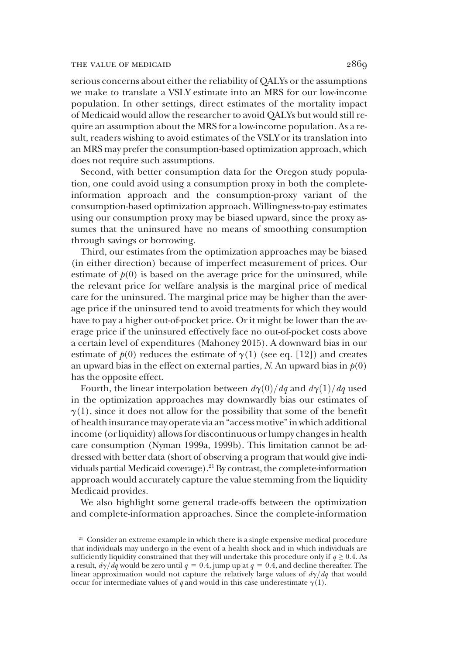#### THE VALUE OF MEDICAID 2869

serious concerns about either the reliability of QALYs or the assumptions we make to translate a VSLY estimate into an MRS for our low-income population. In other settings, direct estimates of the mortality impact of Medicaid would allow the researcher to avoid QALYs but would still require an assumption about the MRS for a low-income population. As a result, readers wishing to avoid estimates of the VSLY or its translation into an MRS may prefer the consumption-based optimization approach, which does not require such assumptions.

Second, with better consumption data for the Oregon study population, one could avoid using a consumption proxy in both the completeinformation approach and the consumption-proxy variant of the consumption-based optimization approach. Willingness-to-pay estimates using our consumption proxy may be biased upward, since the proxy assumes that the uninsured have no means of smoothing consumption through savings or borrowing.

Third, our estimates from the optimization approaches may be biased (in either direction) because of imperfect measurement of prices. Our estimate of  $p(0)$  is based on the average price for the uninsured, while the relevant price for welfare analysis is the marginal price of medical care for the uninsured. The marginal price may be higher than the average price if the uninsured tend to avoid treatments for which they would have to pay a higher out-of-pocket price. Or it might be lower than the average price if the uninsured effectively face no out-of-pocket costs above a certain level of expenditures (Mahoney 2015). A downward bias in our estimate of  $p(0)$  reduces the estimate of  $\gamma(1)$  (see eq. [12]) and creates an upward bias in the effect on external parties, N. An upward bias in  $p(0)$ has the opposite effect.

Fourth, the linear interpolation between  $d\gamma(0)/dq$  and  $d\gamma(1)/dq$  used in the optimization approaches may downwardly bias our estimates of  $\gamma(1)$ , since it does not allow for the possibility that some of the benefit of health insurance may operate via an"accessmotive"in which additional income (or liquidity) allows for discontinuous or lumpy changes in health care consumption (Nyman 1999a, 1999b). This limitation cannot be addressed with better data (short of observing a program that would give individuals partial Medicaid coverage).<sup>21</sup> By contrast, the complete-information approach would accurately capture the value stemming from the liquidity Medicaid provides.

We also highlight some general trade-offs between the optimization and complete-information approaches. Since the complete-information

<sup>&</sup>lt;sup>21</sup> Consider an extreme example in which there is a single expensive medical procedure that individuals may undergo in the event of a health shock and in which individuals are sufficiently liquidity constrained that they will undertake this procedure only if  $q \ge 0.4$ . As a result,  $d\gamma/dq$  would be zero until  $q = 0.4$ , jump up at  $q = 0.4$ , and decline thereafter. The linear approximation would not capture the relatively large values of  $d\gamma/dq$  that would occur for intermediate values of q and would in this case underestimate  $\gamma(1)$ .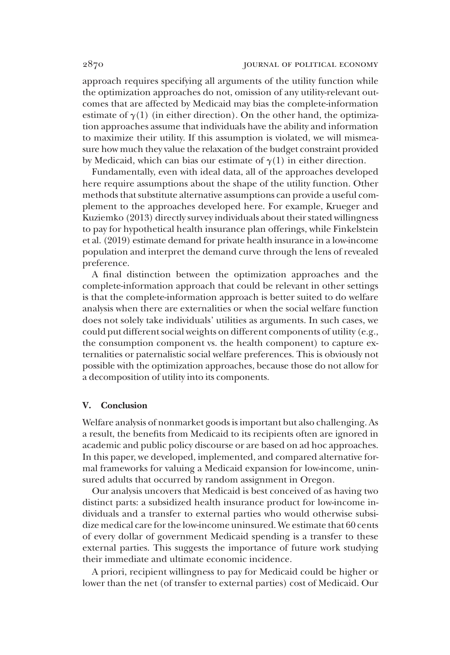approach requires specifying all arguments of the utility function while the optimization approaches do not, omission of any utility-relevant outcomes that are affected by Medicaid may bias the complete-information estimate of  $\gamma(1)$  (in either direction). On the other hand, the optimization approaches assume that individuals have the ability and information to maximize their utility. If this assumption is violated, we will mismeasure how much they value the relaxation of the budget constraint provided by Medicaid, which can bias our estimate of  $\gamma(1)$  in either direction.

Fundamentally, even with ideal data, all of the approaches developed here require assumptions about the shape of the utility function. Other methods that substitute alternative assumptions can provide a useful complement to the approaches developed here. For example, Krueger and Kuziemko (2013) directly survey individuals about their stated willingness to pay for hypothetical health insurance plan offerings, while Finkelstein et al. (2019) estimate demand for private health insurance in a low-income population and interpret the demand curve through the lens of revealed preference.

A final distinction between the optimization approaches and the complete-information approach that could be relevant in other settings is that the complete-information approach is better suited to do welfare analysis when there are externalities or when the social welfare function does not solely take individuals' utilities as arguments. In such cases, we could put different social weights on different components of utility (e.g., the consumption component vs. the health component) to capture externalities or paternalistic social welfare preferences. This is obviously not possible with the optimization approaches, because those do not allow for a decomposition of utility into its components.

#### V. Conclusion

Welfare analysis of nonmarket goods is important but also challenging. As a result, the benefits from Medicaid to its recipients often are ignored in academic and public policy discourse or are based on ad hoc approaches. In this paper, we developed, implemented, and compared alternative formal frameworks for valuing a Medicaid expansion for low-income, uninsured adults that occurred by random assignment in Oregon.

Our analysis uncovers that Medicaid is best conceived of as having two distinct parts: a subsidized health insurance product for low-income individuals and a transfer to external parties who would otherwise subsidize medical care for the low-income uninsured. We estimate that 60 cents of every dollar of government Medicaid spending is a transfer to these external parties. This suggests the importance of future work studying their immediate and ultimate economic incidence.

A priori, recipient willingness to pay for Medicaid could be higher or lower than the net (of transfer to external parties) cost of Medicaid. Our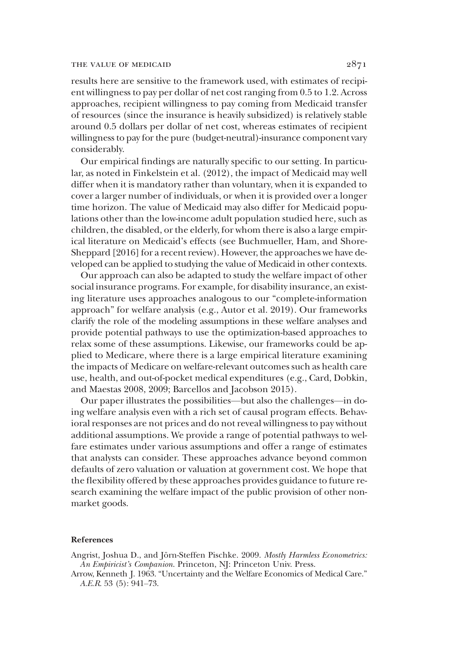#### THE VALUE OF MEDICAID 2871

results here are sensitive to the framework used, with estimates of recipient willingness to pay per dollar of net cost ranging from 0.5 to 1.2. Across approaches, recipient willingness to pay coming from Medicaid transfer of resources (since the insurance is heavily subsidized) is relatively stable around 0.5 dollars per dollar of net cost, whereas estimates of recipient willingness to pay for the pure (budget-neutral)-insurance component vary considerably.

Our empirical findings are naturally specific to our setting. In particular, as noted in Finkelstein et al. (2012), the impact of Medicaid may well differ when it is mandatory rather than voluntary, when it is expanded to cover a larger number of individuals, or when it is provided over a longer time horizon. The value of Medicaid may also differ for Medicaid populations other than the low-income adult population studied here, such as children, the disabled, or the elderly, for whom there is also a large empirical literature on Medicaid's effects (see Buchmueller, Ham, and Shore-Sheppard [2016] for a recent review). However, the approaches we have developed can be applied to studying the value of Medicaid in other contexts.

Our approach can also be adapted to study the welfare impact of other social insurance programs. For example, for disability insurance, an existing literature uses approaches analogous to our "complete-information approach" for welfare analysis (e.g., Autor et al. 2019). Our frameworks clarify the role of the modeling assumptions in these welfare analyses and provide potential pathways to use the optimization-based approaches to relax some of these assumptions. Likewise, our frameworks could be applied to Medicare, where there is a large empirical literature examining the impacts of Medicare on welfare-relevant outcomes such as health care use, health, and out-of-pocket medical expenditures (e.g., Card, Dobkin, and Maestas 2008, 2009; Barcellos and Jacobson 2015).

Our paper illustrates the possibilities—but also the challenges—in doing welfare analysis even with a rich set of causal program effects. Behavioral responses are not prices and do not reveal willingness to pay without additional assumptions. We provide a range of potential pathways to welfare estimates under various assumptions and offer a range of estimates that analysts can consider. These approaches advance beyond common defaults of zero valuation or valuation at government cost. We hope that the flexibility offered by these approaches provides guidance to future research examining the welfare impact of the public provision of other nonmarket goods.

#### References

Angrist, Joshua D., and Jörn-Steffen Pischke. 2009. Mostly Harmless Econometrics: An Empiricist's Companion. Princeton, NJ: Princeton Univ. Press.

Arrow, Kenneth J. 1963. "Uncertainty and the Welfare Economics of Medical Care." A.E.R. 53 (5): 941–73.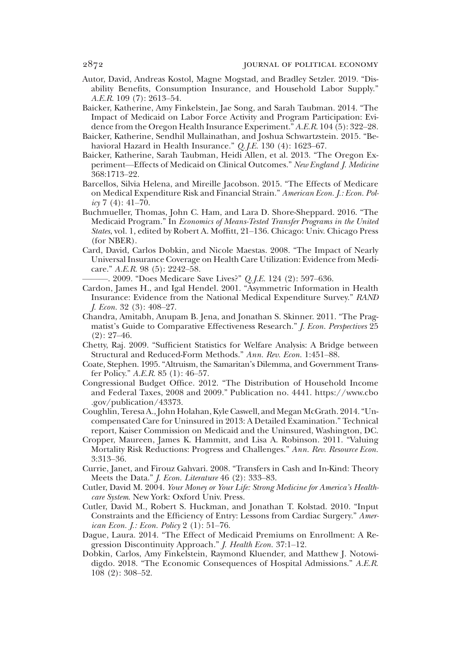- Autor, David, Andreas Kostol, Magne Mogstad, and Bradley Setzler. 2019. "Disability Benefits, Consumption Insurance, and Household Labor Supply." A.E.R. 109 (7): 2613–54.
- Baicker, Katherine, Amy Finkelstein, Jae Song, and Sarah Taubman. 2014. "The Impact of Medicaid on Labor Force Activity and Program Participation: Evidence from the Oregon Health Insurance Experiment." A.E.R. 104 (5): 322–28.
- Baicker, Katherine, Sendhil Mullainathan, and Joshua Schwartzstein. 2015. "Behavioral Hazard in Health Insurance." Q. *J.E.* 130 (4): 1623–67.
- Baicker, Katherine, Sarah Taubman, Heidi Allen, et al. 2013. "The Oregon Experiment—Effects of Medicaid on Clinical Outcomes." New England J. Medicine 368:1713–22.
- Barcellos, Silvia Helena, and Mireille Jacobson. 2015. "The Effects of Medicare on Medical Expenditure Risk and Financial Strain." American Econ. J.: Econ. Policy 7 (4):  $41-70$ .
- Buchmueller, Thomas, John C. Ham, and Lara D. Shore-Sheppard. 2016. "The Medicaid Program." In Economics of Means-Tested Transfer Programs in the United States, vol. 1, edited by Robert A. Moffitt, 21–136. Chicago: Univ. Chicago Press (for NBER).
- Card, David, Carlos Dobkin, and Nicole Maestas. 2008. "The Impact of Nearly Universal Insurance Coverage on Health Care Utilization: Evidence from Medicare." A.E.R. 98 (5): 2242–58.

-. 2009. "Does Medicare Save Lives?" Q.J.E. 124 (2): 597–636.

- Cardon, James H., and Igal Hendel. 2001. "Asymmetric Information in Health Insurance: Evidence from the National Medical Expenditure Survey." RAND J. Econ. 32 (3): 408–27.
- Chandra, Amitabh, Anupam B. Jena, and Jonathan S. Skinner. 2011. "The Pragmatist's Guide to Comparative Effectiveness Research." J. Econ. Perspectives 25  $(2): 27 - 46.$
- Chetty, Raj. 2009. "Sufficient Statistics for Welfare Analysis: A Bridge between Structural and Reduced-Form Methods." Ann. Rev. Econ. 1:451–88.
- Coate, Stephen. 1995. "Altruism, the Samaritan's Dilemma, and Government Transfer Policy." A.E.R. 85 (1): 46–57.
- Congressional Budget Office. 2012. "The Distribution of Household Income and Federal Taxes, 2008 and 2009." Publication no. 4441. https://www.cbo .gov/publication/43373.
- Coughlin, Teresa A., John Holahan, Kyle Caswell, and Megan McGrath. 2014."Uncompensated Care for Uninsured in 2013: A Detailed Examination." Technical report, Kaiser Commission on Medicaid and the Uninsured, Washington, DC.
- Cropper, Maureen, James K. Hammitt, and Lisa A. Robinson. 2011. "Valuing Mortality Risk Reductions: Progress and Challenges." Ann. Rev. Resource Econ. 3:313–36.
- Currie, Janet, and Firouz Gahvari. 2008. "Transfers in Cash and In-Kind: Theory Meets the Data." J. Econ. Literature 46 (2): 333–83.
- Cutler, David M. 2004. Your Money or Your Life: Strong Medicine for America's Healthcare System. New York: Oxford Univ. Press.
- Cutler, David M., Robert S. Huckman, and Jonathan T. Kolstad. 2010. "Input Constraints and the Efficiency of Entry: Lessons from Cardiac Surgery." American Econ. J.: Econ. Policy 2 (1): 51–76.
- Dague, Laura. 2014. "The Effect of Medicaid Premiums on Enrollment: A Regression Discontinuity Approach." J. Health Econ. 37:1–12.
- Dobkin, Carlos, Amy Finkelstein, Raymond Kluender, and Matthew J. Notowidigdo. 2018. "The Economic Consequences of Hospital Admissions." A.E.R. 108 (2): 308–52.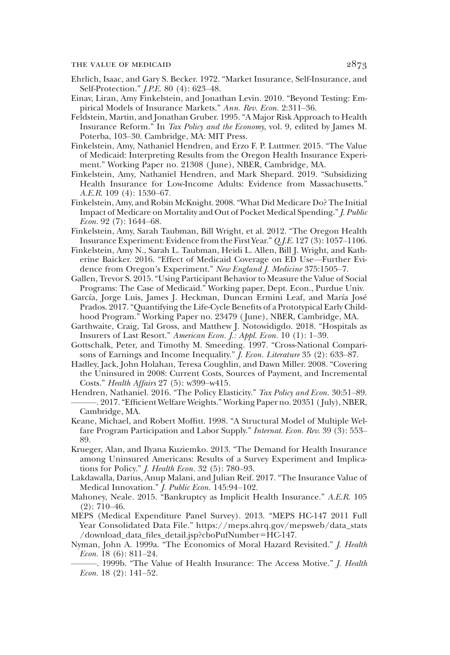- Ehrlich, Isaac, and Gary S. Becker. 1972. "Market Insurance, Self-Insurance, and Self-Protection." J.P.E. 80 (4): 623–48.
- Einav, Liran, Amy Finkelstein, and Jonathan Levin. 2010. "Beyond Testing: Empirical Models of Insurance Markets." Ann. Rev. Econ. 2:311–36.
- Feldstein, Martin, and Jonathan Gruber. 1995. "A Major Risk Approach to Health Insurance Reform." In Tax Policy and the Economy, vol. 9, edited by James M. Poterba, 103–30. Cambridge, MA: MIT Press.
- Finkelstein, Amy, Nathaniel Hendren, and Erzo F. P. Luttmer. 2015. "The Value of Medicaid: Interpreting Results from the Oregon Health Insurance Experiment." Working Paper no. 21308 ( June), NBER, Cambridge, MA.
- Finkelstein, Amy, Nathaniel Hendren, and Mark Shepard. 2019. "Subsidizing Health Insurance for Low-Income Adults: Evidence from Massachusetts." A.E.R. 109 (4): 1530–67.
- Finkelstein, Amy, and Robin McKnight. 2008."What Did Medicare Do? The Initial Impact of Medicare on Mortality and Out of Pocket Medical Spending."J. Public Econ. 92 (7): 1644–68.
- Finkelstein, Amy, Sarah Taubman, Bill Wright, et al. 2012. "The Oregon Health Insurance Experiment: Evidence from the First Year."Q.J.E. 127 (3): 1057–1106.
- Finkelstein, Amy N., Sarah L. Taubman, Heidi L. Allen, Bill J. Wright, and Katherine Baicker. 2016. "Effect of Medicaid Coverage on ED Use—Further Evidence from Oregon's Experiment." New England J. Medicine 375:1505-7.
- Gallen, Trevor S. 2015."Using Participant Behavior to Measure the Value of Social Programs: The Case of Medicaid." Working paper, Dept. Econ., Purdue Univ.
- García, Jorge Luis, James J. Heckman, Duncan Ermini Leaf, and María José Prados. 2017."Quantifying the Life-Cycle Benefits of a Prototypical Early Childhood Program." Working Paper no. 23479 ( June), NBER, Cambridge, MA.
- Garthwaite, Craig, Tal Gross, and Matthew J. Notowidigdo. 2018. "Hospitals as Insurers of Last Resort." American Econ. J.: Appl. Econ. 10 (1): 1–39.
- Gottschalk, Peter, and Timothy M. Smeeding. 1997. "Cross-National Comparisons of Earnings and Income Inequality." *J. Econ. Literature* 35 (2): 633-87.
- Hadley, Jack, John Holahan, Teresa Coughlin, and Dawn Miller. 2008. "Covering the Uninsured in 2008: Current Costs, Sources of Payment, and Incremental Costs." Health Affairs 27 (5): w399–w415.
- Hendren, Nathaniel. 2016. "The Policy Elasticity." Tax Policy and Econ. 30:51-89. ———. 2017."Efficient Welfare Weights." Working Paper no. 20351 ( July), NBER, Cambridge, MA.
- Keane, Michael, and Robert Moffitt. 1998. "A Structural Model of Multiple Welfare Program Participation and Labor Supply." Internat. Econ. Rev. 39 (3): 553-89.
- Krueger, Alan, and Ilyana Kuziemko. 2013. "The Demand for Health Insurance among Uninsured Americans: Results of a Survey Experiment and Implications for Policy." J. Health Econ. 32 (5): 780–93.
- Lakdawalla, Darius, Anup Malani, and Julian Reif. 2017. "The Insurance Value of Medical Innovation." *J. Public Econ*. 145:94-102.
- Mahoney, Neale. 2015. "Bankruptcy as Implicit Health Insurance." A.E.R. 105 (2): 710–46.
- MEPS (Medical Expenditure Panel Survey). 2013. "MEPS HC-147 2011 Full Year Consolidated Data File." https://meps.ahrq.gov/mepsweb/data\_stats /download\_data\_files\_detail.jsp?cboPufNumber=HC-147.
- Nyman, John A. 1999a. "The Economics of Moral Hazard Revisited." J. Health Econ. 18 (6): 811–24.
- -. 1999b. "The Value of Health Insurance: The Access Motive." *J. Health* Econ. 18 (2): 141–52.